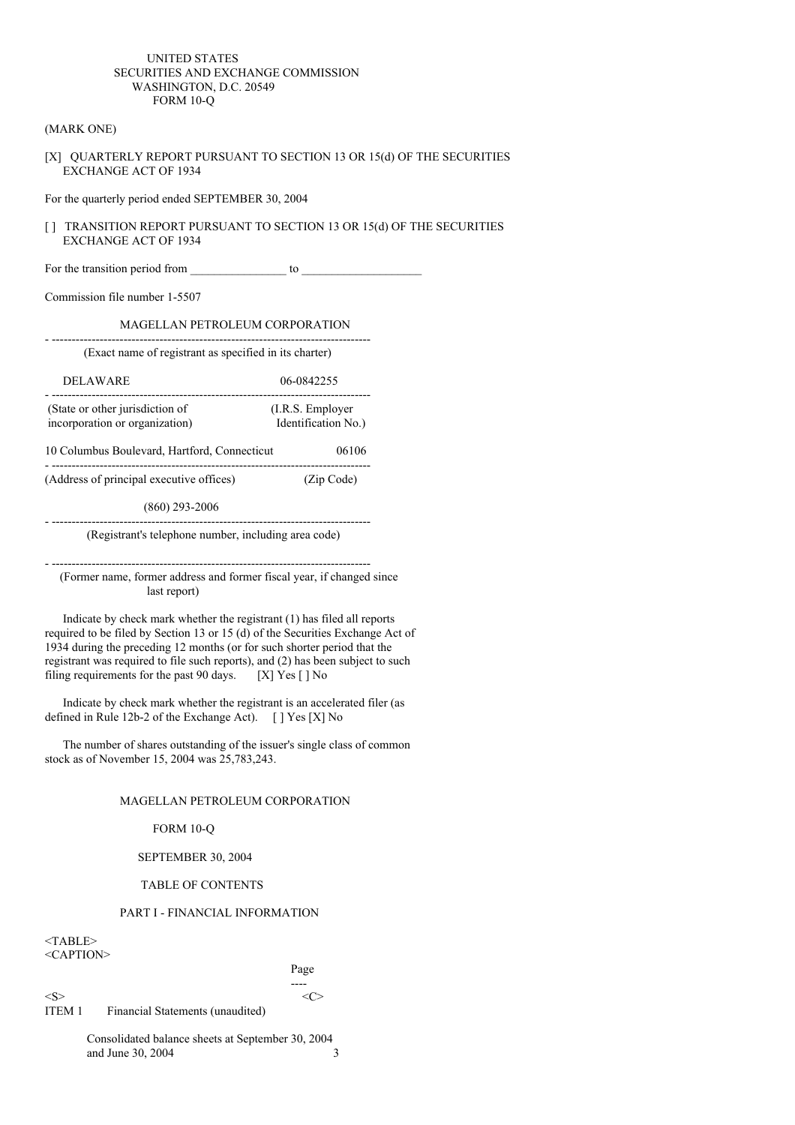### UNITED STATES SECURITIES AND EXCHANGE COMMISSION WASHINGTON, D.C. 20549 FORM 10-Q

## (MARK ONE)

[X] QUARTERLY REPORT PURSUANT TO SECTION 13 OR 15(d) OF THE SECURITIES EXCHANGE ACT OF 1934

For the quarterly period ended SEPTEMBER 30, 2004

# [ ] TRANSITION REPORT PURSUANT TO SECTION 13 OR 15(d) OF THE SECURITIES EXCHANGE ACT OF 1934

For the transition period from  $\qquad \qquad$  to  $\qquad \qquad$ 

Commission file number 1-5507

#### MAGELLAN PETROLEUM CORPORATION - --------------------------------------------------------------------------------

| (Exact name of registrant as specified in its charter)            |                                           |  |  |  |  |  |
|-------------------------------------------------------------------|-------------------------------------------|--|--|--|--|--|
| <b>DELAWARE</b>                                                   | 06-0842255                                |  |  |  |  |  |
| (State or other jurisdiction of<br>incorporation or organization) | $(I.R.S.$ Employer<br>Identification No.) |  |  |  |  |  |
| 10 Columbus Boulevard, Hartford, Connecticut                      | 06106                                     |  |  |  |  |  |
| (Address of principal executive offices)                          | (Zip Code)                                |  |  |  |  |  |
| $(860)$ 293-2006                                                  |                                           |  |  |  |  |  |
| (Registrant's telephone number, including area code)              |                                           |  |  |  |  |  |

- -------------------------------------------------------------------------------- (Former name, former address and former fiscal year, if changed since last report)

Indicate by check mark whether the registrant (1) has filed all reports required to be filed by Section 13 or 15 (d) of the Securities Exchange Act of 1934 during the preceding 12 months (or for such shorter period that the registrant was required to file such reports), and (2) has been subject to such filing requirements for the past 90 days.  $[X]$  Yes  $[ ]$  No

Indicate by check mark whether the registrant is an accelerated filer (as defined in Rule 12b-2 of the Exchange Act). [ ] Yes [X] No

The number of shares outstanding of the issuer's single class of common stock as of November 15, 2004 was 25,783,243.

# MAGELLAN PETROLEUM CORPORATION

### FORM 10-Q

SEPTEMBER 30, 2004

TABLE OF CONTENTS

# PART I - FINANCIAL INFORMATION

<TABLE> <CAPTION>

Page ----

 $\langle S \rangle$   $\langle \langle \rangle$ ITEM 1 Financial Statements (unaudited)

> Consolidated balance sheets at September 30, 2004 and June 30, 2004 3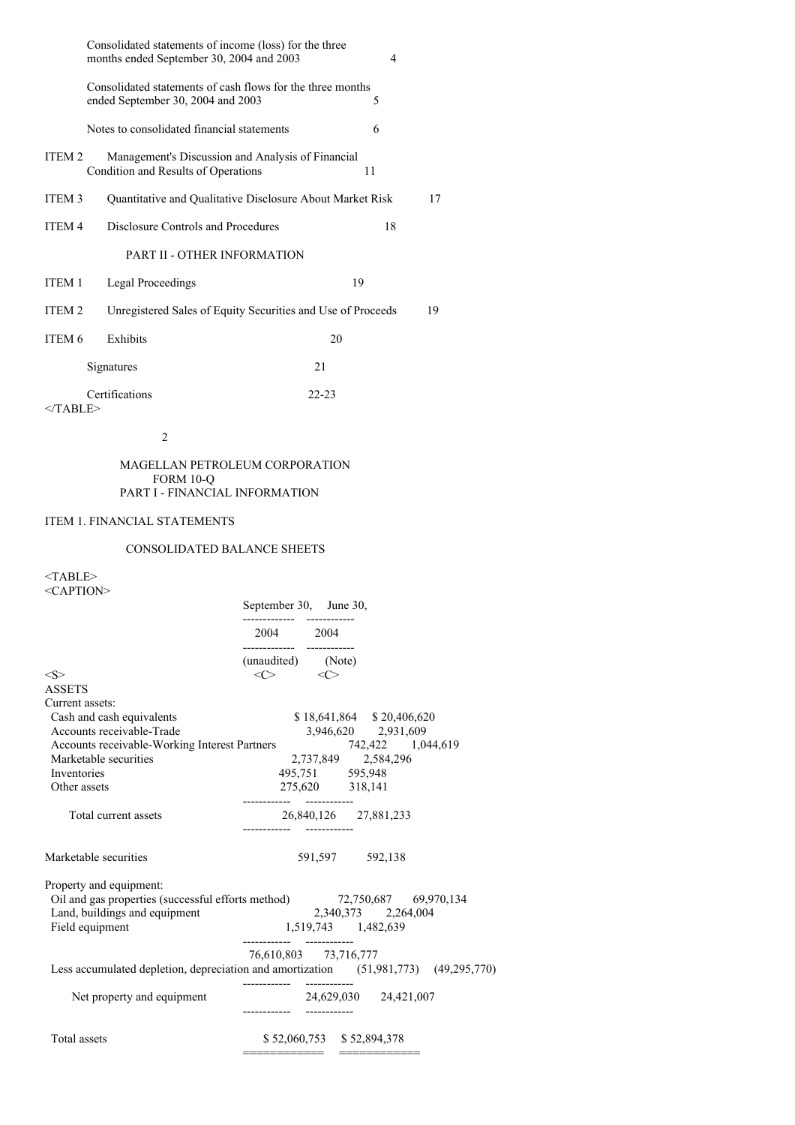|                   | Consolidated statements of income (loss) for the three<br>months ended September 30, 2004 and 2003 | 4         |    |
|-------------------|----------------------------------------------------------------------------------------------------|-----------|----|
|                   | Consolidated statements of cash flows for the three months<br>ended September 30, 2004 and 2003    | 5         |    |
|                   | Notes to consolidated financial statements                                                         | 6         |    |
| ITEM <sub>2</sub> | Management's Discussion and Analysis of Financial<br>Condition and Results of Operations           | 11        |    |
| ITEM <sub>3</sub> | Quantitative and Qualitative Disclosure About Market Risk                                          |           | 17 |
| <b>ITEM 4</b>     | Disclosure Controls and Procedures                                                                 | 18        |    |
|                   | <b>PART II - OTHER INFORMATION</b>                                                                 |           |    |
| <b>ITEM 1</b>     | Legal Proceedings                                                                                  | 19        |    |
| ITEM <sub>2</sub> | Unregistered Sales of Equity Securities and Use of Proceeds                                        | 19        |    |
| ITEM 6            | Exhibits                                                                                           | 20        |    |
|                   | Signatures                                                                                         | 21        |    |
| $\langle$ TABLE>  | Certifications                                                                                     | $22 - 23$ |    |

2

# MAGELLAN PETROLEUM CORPORATION FORM 10-Q PART I - FINANCIAL INFORMATION

# ITEM 1. FINANCIAL STATEMENTS

# CONSOLIDATED BALANCE SHEETS

 $<$ TABLE>

| $<$ CAPTION $>$                                                                                                                                                |                                                     |                                                           |  |
|----------------------------------------------------------------------------------------------------------------------------------------------------------------|-----------------------------------------------------|-----------------------------------------------------------|--|
|                                                                                                                                                                | September 30, June 30,                              |                                                           |  |
|                                                                                                                                                                | 2004 2004                                           |                                                           |  |
|                                                                                                                                                                | -------------     -----------<br>(unaudited) (Note) |                                                           |  |
| < S >                                                                                                                                                          | $\langle C \rangle$ $\langle C \rangle$             |                                                           |  |
| <b>ASSETS</b>                                                                                                                                                  |                                                     |                                                           |  |
| Current assets:                                                                                                                                                |                                                     |                                                           |  |
| Cash and cash equivalents                                                                                                                                      |                                                     | \$18,641,864 \$20,406,620                                 |  |
| Accounts receivable-Trade                                                                                                                                      |                                                     | 3,946,620 2,931,609                                       |  |
| Accounts receivable-Working Interest Partners                                                                                                                  |                                                     | 742,422 1,044,619                                         |  |
| Marketable securities                                                                                                                                          |                                                     |                                                           |  |
| Inventories                                                                                                                                                    |                                                     | 2,737,849 2,584,296<br>495,751 595,948<br>275,620 318,141 |  |
| Other assets                                                                                                                                                   |                                                     |                                                           |  |
|                                                                                                                                                                |                                                     |                                                           |  |
| Total current assets                                                                                                                                           |                                                     | 26,840,126 27,881,233                                     |  |
| Marketable securities                                                                                                                                          |                                                     | 591,597 592,138                                           |  |
|                                                                                                                                                                |                                                     |                                                           |  |
| Property and equipment:                                                                                                                                        |                                                     |                                                           |  |
| Oil and gas properties (successful efforts method) 72,750,687 69,970,134<br>Land, buildings and equipment 2,340,373 2,264,004<br>Land, buildings and equipment |                                                     |                                                           |  |
|                                                                                                                                                                |                                                     | $2,340,315$<br>1,519,743 1,482,639                        |  |
| Field equipment                                                                                                                                                |                                                     |                                                           |  |
|                                                                                                                                                                |                                                     |                                                           |  |
|                                                                                                                                                                | 76,610,803 73,716,777                               |                                                           |  |
| Less accumulated depletion, depreciation and amortization (51,981,773) (49,295,770)                                                                            |                                                     |                                                           |  |
|                                                                                                                                                                |                                                     |                                                           |  |
| Net property and equipment                                                                                                                                     |                                                     | 24,629,030 24,421,007                                     |  |
|                                                                                                                                                                |                                                     |                                                           |  |
|                                                                                                                                                                |                                                     |                                                           |  |
| <b>Total</b> assets                                                                                                                                            | _____________                                       | \$52,060,753 \$52,894,378                                 |  |
|                                                                                                                                                                |                                                     |                                                           |  |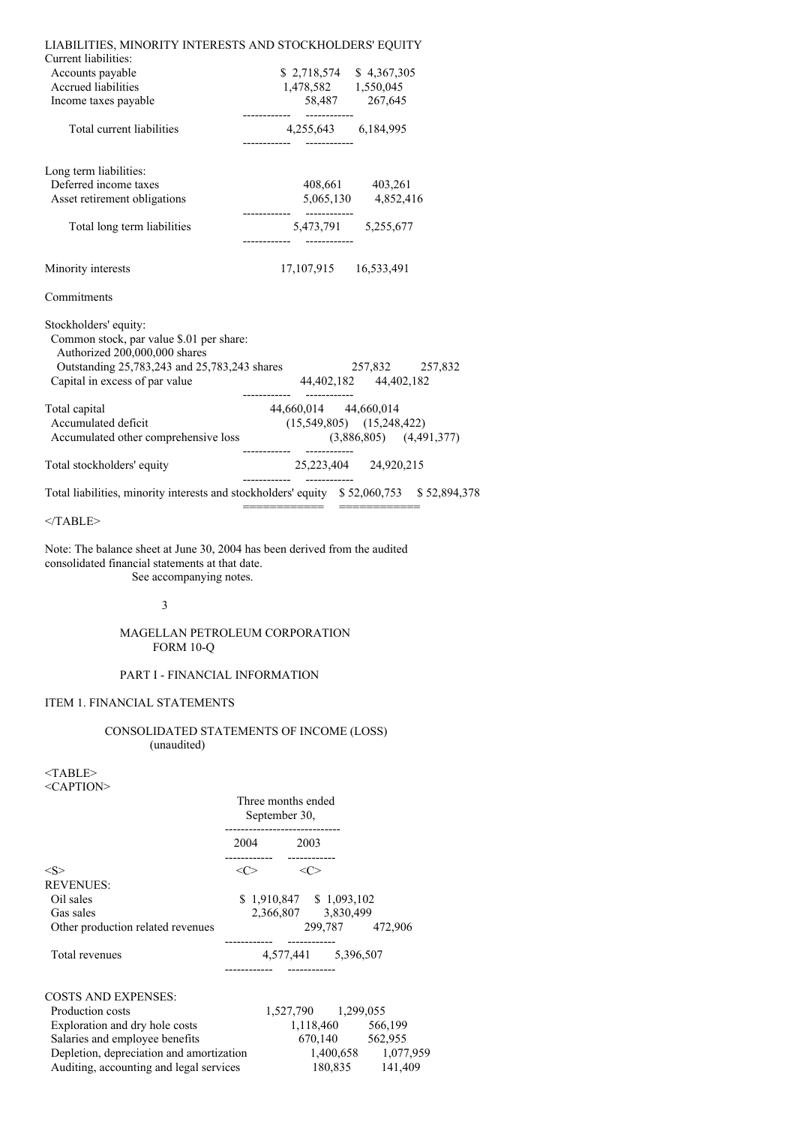| LIABILITIES, MINORITY INTERESTS AND STOCKHOLDERS' EQUITY                                                                                                                                                                                                     |                                                         |
|--------------------------------------------------------------------------------------------------------------------------------------------------------------------------------------------------------------------------------------------------------------|---------------------------------------------------------|
| Current liabilities:                                                                                                                                                                                                                                         |                                                         |
| Accounts payable                                                                                                                                                                                                                                             | $$2,718,574$ $$4,367,305$                               |
| <b>Accrued</b> liabilities                                                                                                                                                                                                                                   | 1,478,582 1,550,045                                     |
| Income taxes payable                                                                                                                                                                                                                                         | $58,487$ 267,645                                        |
| Total current liabilities                                                                                                                                                                                                                                    | 4,255,643 6,184,995<br>------------        ------------ |
| Long term liabilities:                                                                                                                                                                                                                                       |                                                         |
| Deferred income taxes                                                                                                                                                                                                                                        | 408,661 403,261                                         |
| Asset retirement obligations                                                                                                                                                                                                                                 |                                                         |
|                                                                                                                                                                                                                                                              | $5,065,130$ $4,852,416$<br>------------                 |
| Total long term liabilities                                                                                                                                                                                                                                  | 5,473,791 5,255,677                                     |
| Minority interests                                                                                                                                                                                                                                           | 17,107,915 16,533,491                                   |
| Commitments                                                                                                                                                                                                                                                  |                                                         |
| Stockholders' equity:<br>Common stock, par value \$.01 per share:<br>Authorized 200,000,000 shares<br>Outstanding 25,783,243 and 25,783,243 shares 257,832 257,832<br>Capital in excess of par value 44,402,182 44,402,182<br>Capital in excess of par value |                                                         |
| Total capital                                                                                                                                                                                                                                                |                                                         |
|                                                                                                                                                                                                                                                              | $44,660,014$ $44,660,014$<br>(15,549,805) (15,248       |
| Accumulated deficit (15,549,805) (15,248,422)<br>Accumulated other comprehensive loss (3,886,805) (4,491,377)                                                                                                                                                |                                                         |
| Total stockholders' equity                                                                                                                                                                                                                                   | 25,223,404 24,920,215                                   |
| Total liabilities, minority interests and stockholders' equity \$52,060,753 \$52,894,378                                                                                                                                                                     | ------------- ------------                              |
|                                                                                                                                                                                                                                                              |                                                         |

Note: The balance sheet at June 30, 2004 has been derived from the audited consolidated financial statements at that date. See accompanying notes.

### 3

# MAGELLAN PETROLEUM CORPORATION FORM 10-Q

# PART I - FINANCIAL INFORMATION

# ITEM 1. FINANCIAL STATEMENTS

Auditing, accounting and legal services

# CONSOLIDATED STATEMENTS OF INCOME (LOSS) (unaudited)

<TABLE> <CAPTION>

|                                          |           | Three months ended<br>September 30, |                           |                     |
|------------------------------------------|-----------|-------------------------------------|---------------------------|---------------------|
|                                          | 2004 2003 |                                     |                           |                     |
| $<\!\!S\!\!>$                            | <<>       | $\langle$ C>                        |                           |                     |
| <b>REVENUES:</b>                         |           |                                     |                           |                     |
| Oil sales                                |           |                                     | $$1,910,847$ $$1,093,102$ |                     |
| Gas sales                                |           |                                     | 2,366,807 3,830,499       |                     |
| Other production related revenues        |           |                                     |                           | 299,787 472,906     |
| Total revenues                           |           |                                     | 4,577,441 5,396,507       |                     |
| <b>COSTS AND EXPENSES:</b>               |           |                                     |                           |                     |
| Production costs                         |           |                                     | 1,527,790 1,299,055       |                     |
| Exploration and dry hole costs           |           |                                     |                           | 1,118,460 566,199   |
| Salaries and employee benefits           |           |                                     |                           | 670,140 562,955     |
| Depletion, depreciation and amortization |           |                                     |                           | 1,400,658 1,077,959 |
| Auditing, accounting and legal services  |           |                                     |                           | 180,835 141,409     |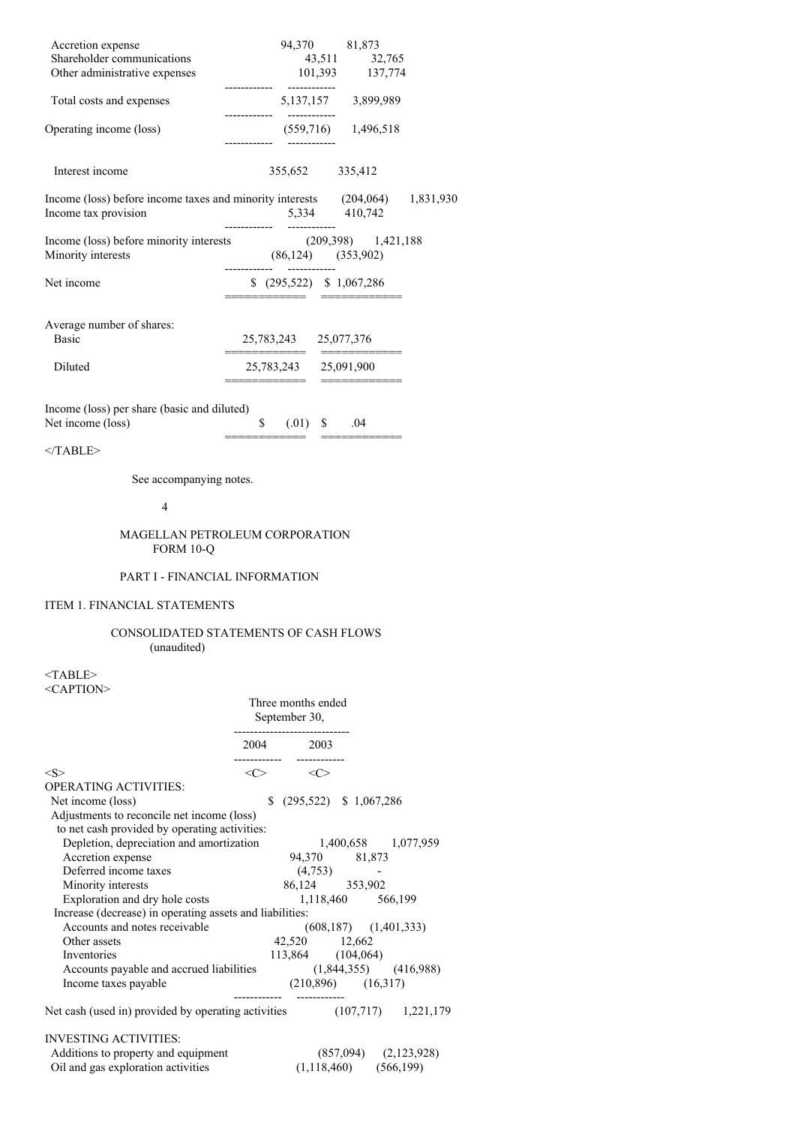| Accretion expense                                                                                    |                                 | 94,370 81,873         |  |
|------------------------------------------------------------------------------------------------------|---------------------------------|-----------------------|--|
| Shareholder communications                                                                           |                                 | 43,511 32,765         |  |
| Other administrative expenses                                                                        |                                 | 101,393 137,774       |  |
| Total costs and expenses                                                                             |                                 | 5,137,157 3,899,989   |  |
| Operating income (loss)                                                                              | ------------       ------------ | $(559,716)$ 1,496,518 |  |
| Interest income                                                                                      | 355,652 335,412                 |                       |  |
| Income (loss) before income taxes and minority interests (204,064) 1,831,930<br>Income tax provision |                                 | 5,334 410,742         |  |
| Income (loss) before minority interests (209,398) 1,421,188<br>Minority interests                    | $(86,124)$ $(353,902)$          |                       |  |
| Net income                                                                                           | \$ (295,522) \$ 1,067,286       |                       |  |
| Average number of shares:                                                                            |                                 |                       |  |
| Basic                                                                                                | 25,783,243 25,077,376           | ============          |  |
| Diluted                                                                                              | 25,783,243 25,091,900           |                       |  |
| Income (loss) per share (basic and diluted)                                                          |                                 |                       |  |

| $1.10000$ , $10000$ , $100000$ , $100000$ , $100000$ , $100000$ , $100000$ , $100000$ , $100000$ , $100000$ , $100000$ , $100000$ , $100000$ , $100000$ , $100000$ , $100000$ , $100000$ , $100000$ , $100000$ , $100000$ , $100000$ , $100000$ ,<br>Net income (loss) | $\text{\$} \quad \text{(.01)} \quad \text{\$} \quad \text{.04}$ |  |  |
|------------------------------------------------------------------------------------------------------------------------------------------------------------------------------------------------------------------------------------------------------------------------|-----------------------------------------------------------------|--|--|
|                                                                                                                                                                                                                                                                        |                                                                 |  |  |

See accompanying notes.

4

# MAGELLAN PETROLEUM CORPORATION FORM 10-Q

# PART I - FINANCIAL INFORMATION

# ITEM 1. FINANCIAL STATEMENTS

# CONSOLIDATED STATEMENTS OF CASH FLOWS (unaudited)

# $<$ TABLE $>$ <CAPTION>

|                                                                         |            | Three months ended<br>September 30,<br>----------------                   |                           |
|-------------------------------------------------------------------------|------------|---------------------------------------------------------------------------|---------------------------|
|                                                                         |            | 2004 2003                                                                 |                           |
| < S >                                                                   |            | ---------         ------------<br>$\langle C \rangle$ $\langle C \rangle$ |                           |
| <b>OPERATING ACTIVITIES:</b>                                            |            |                                                                           |                           |
| Net income (loss)                                                       |            | \$ (295,522) \$ 1,067,286                                                 |                           |
| Adjustments to reconcile net income (loss)                              |            |                                                                           |                           |
| to net cash provided by operating activities:                           |            |                                                                           |                           |
| Depletion, depreciation and amortization                                |            |                                                                           | 1,400,658 1,077,959       |
| Accretion expense                                                       |            | 94,370 81,873                                                             |                           |
| Deferred income taxes                                                   |            | (4,753)                                                                   |                           |
| Minority interests                                                      |            | 86,124 353,902                                                            |                           |
| Exploration and dry hole costs                                          |            | 1,118,460 566,199                                                         |                           |
| Increase (decrease) in operating assets and liabilities:                |            |                                                                           |                           |
| Accounts and notes receivable                                           |            |                                                                           | $(608,187)$ $(1,401,333)$ |
| Other assets                                                            |            | 42,520 12,662                                                             |                           |
| Inventories                                                             |            | 113,864 (104,064)                                                         |                           |
| Accounts payable and accrued liabilities (1,844,355) (416,988)          |            |                                                                           |                           |
| Income taxes payable                                                    |            | $(210,896)$ $(16,317)$                                                    |                           |
| Net cash (used in) provided by operating activities (107,717) 1,221,179 | ---------- |                                                                           |                           |
| <b>INVESTING ACTIVITIES:</b>                                            |            |                                                                           |                           |
| Additions to property and equipment                                     |            |                                                                           | $(857,094)$ $(2,123,928)$ |
| Oil and gas exploration activities                                      |            |                                                                           | $(1,118,460)$ $(566,199)$ |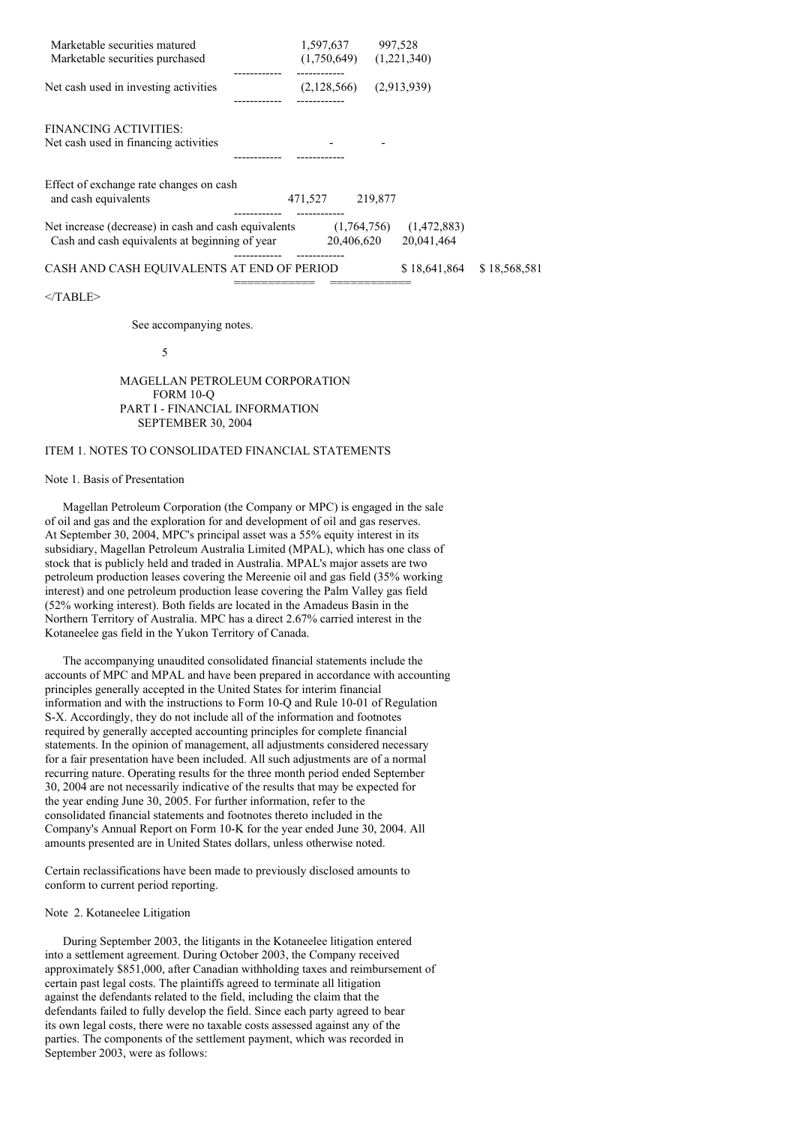| Marketable securities matured                        |         | 1,597,637   | 997,528       |              |
|------------------------------------------------------|---------|-------------|---------------|--------------|
| Marketable securities purchased                      |         | (1,750,649) | (1,221,340)   |              |
|                                                      |         |             |               |              |
| Net cash used in investing activities                |         | (2,128,566) | (2,913,939)   |              |
|                                                      |         |             |               |              |
| <b>FINANCING ACTIVITIES:</b>                         |         |             |               |              |
| Net cash used in financing activities                |         |             |               |              |
|                                                      |         |             |               |              |
|                                                      |         |             |               |              |
| Effect of exchange rate changes on cash              |         |             |               |              |
| and cash equivalents                                 | 471,527 |             | 219,877       |              |
|                                                      |         |             |               |              |
| Net increase (decrease) in cash and cash equivalents |         | (1,764,756) | (1, 472, 883) |              |
| Cash and cash equivalents at beginning of year       |         | 20,406,620  | 20.041.464    |              |
|                                                      |         |             |               |              |
| CASH AND CASH EQUIVALENTS AT END OF PERIOD           |         |             | \$18,641,864  | \$18,568,581 |
|                                                      |         |             |               |              |

See accompanying notes.

5

MAGELLAN PETROLEUM CORPORATION FORM 10-Q PART I - FINANCIAL INFORMATION SEPTEMBER 30, 2004

# ITEM 1. NOTES TO CONSOLIDATED FINANCIAL STATEMENTS

### Note 1. Basis of Presentation

Magellan Petroleum Corporation (the Company or MPC) is engaged in the sale of oil and gas and the exploration for and development of oil and gas reserves. At September 30, 2004, MPC's principal asset was a 55% equity interest in its subsidiary, Magellan Petroleum Australia Limited (MPAL), which has one class of stock that is publicly held and traded in Australia. MPAL's major assets are two petroleum production leases covering the Mereenie oil and gas field (35% working interest) and one petroleum production lease covering the Palm Valley gas field (52% working interest). Both fields are located in the Amadeus Basin in the Northern Territory of Australia. MPC has a direct 2.67% carried interest in the Kotaneelee gas field in the Yukon Territory of Canada.

The accompanying unaudited consolidated financial statements include the accounts of MPC and MPAL and have been prepared in accordance with accounting principles generally accepted in the United States for interim financial information and with the instructions to Form 10-Q and Rule 10-01 of Regulation S-X. Accordingly, they do not include all of the information and footnotes required by generally accepted accounting principles for complete financial statements. In the opinion of management, all adjustments considered necessary for a fair presentation have been included. All such adjustments are of a normal recurring nature. Operating results for the three month period ended September 30, 2004 are not necessarily indicative of the results that may be expected for the year ending June 30, 2005. For further information, refer to the consolidated financial statements and footnotes thereto included in the Company's Annual Report on Form 10-K for the year ended June 30, 2004. All amounts presented are in United States dollars, unless otherwise noted.

Certain reclassifications have been made to previously disclosed amounts to conform to current period reporting.

### Note 2. Kotaneelee Litigation

During September 2003, the litigants in the Kotaneelee litigation entered into a settlement agreement. During October 2003, the Company received approximately \$851,000, after Canadian withholding taxes and reimbursement of certain past legal costs. The plaintiffs agreed to terminate all litigation against the defendants related to the field, including the claim that the defendants failed to fully develop the field. Since each party agreed to bear its own legal costs, there were no taxable costs assessed against any of the parties. The components of the settlement payment, which was recorded in September 2003, were as follows: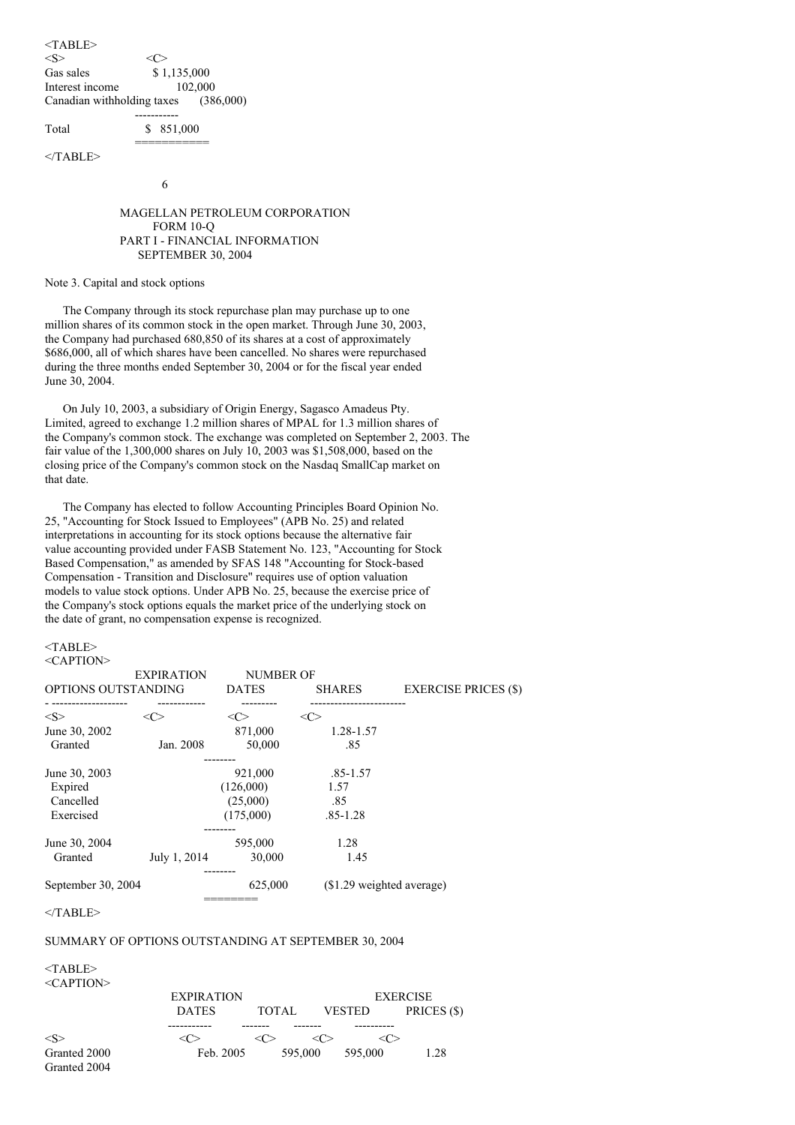<TABLE>  $\langle S \rangle$   $\langle C \rangle$ Gas sales \$ 1,135,000 Interest income 102,000 Canadian withholding taxes (386,000)

Total \$ 851,000 ===========

-----------

 $<$ /TABLE>

6

MAGELLAN PETROLEUM CORPORATION FORM 10-Q PART I - FINANCIAL INFORMATION SEPTEMBER 30, 2004

### Note 3. Capital and stock options

The Company through its stock repurchase plan may purchase up to one million shares of its common stock in the open market. Through June 30, 2003, the Company had purchased 680,850 of its shares at a cost of approximately \$686,000, all of which shares have been cancelled. No shares were repurchased during the three months ended September 30, 2004 or for the fiscal year ended June 30, 2004.

On July 10, 2003, a subsidiary of Origin Energy, Sagasco Amadeus Pty. Limited, agreed to exchange 1.2 million shares of MPAL for 1.3 million shares of the Company's common stock. The exchange was completed on September 2, 2003. The fair value of the 1,300,000 shares on July 10, 2003 was \$1,508,000, based on the closing price of the Company's common stock on the Nasdaq SmallCap market on that date.

The Company has elected to follow Accounting Principles Board Opinion No. 25, "Accounting for Stock Issued to Employees" (APB No. 25) and related interpretations in accounting for its stock options because the alternative fair value accounting provided under FASB Statement No. 123, "Accounting for Stock Based Compensation," as amended by SFAS 148 "Accounting for Stock-based Compensation - Transition and Disclosure" requires use of option valuation models to value stock options. Under APB No. 25, because the exercise price of the Company's stock options equals the market price of the underlying stock on the date of grant, no compensation expense is recognized.

# <TABLE>

<CAPTION>

|                     | <b>EXPIRATION</b> | <b>NUMBER OF</b> |                            |                             |
|---------------------|-------------------|------------------|----------------------------|-----------------------------|
| OPTIONS OUTSTANDING |                   | <b>DATES</b>     | <b>SHARES</b>              | <b>EXERCISE PRICES (\$)</b> |
|                     |                   |                  |                            |                             |
| < S >               | $<\!\!C\!\!>$     | <c></c>          | $\langle C \rangle$        |                             |
| June 30, 2002       |                   | 871,000          | 1.28-1.57                  |                             |
| Granted             | Jan. 2008         | 50,000           | .85                        |                             |
|                     |                   | -------          |                            |                             |
| June 30, 2003       |                   | 921,000          | $.85 - 1.57$               |                             |
| Expired             |                   | (126,000)        | 1.57                       |                             |
| Cancelled           |                   | (25,000)         | .85                        |                             |
| Exercised           |                   | (175,000)        | $.85 - 1.28$               |                             |
|                     |                   |                  |                            |                             |
| June 30, 2004       |                   | 595,000          | 1.28                       |                             |
| Granted             | July 1, 2014      | 30,000           | 1.45                       |                             |
|                     |                   | .                |                            |                             |
| September 30, 2004  |                   | 625,000          | $($1.29$ weighted average) |                             |
|                     |                   |                  |                            |                             |

 $<$ /TABLE>

# SUMMARY OF OPTIONS OUTSTANDING AT SEPTEMBER 30, 2004

 $<$ TABLE>  $\angle C$  A PTIONS

| $\sim$        |                         |         |               |                 |
|---------------|-------------------------|---------|---------------|-----------------|
|               | <b>EXPIRATION</b>       |         |               | <b>EXERCISE</b> |
|               | <b>DATES</b>            | TOTAL   | <b>VESTED</b> | PRICES (\$)     |
|               |                         |         |               |                 |
| $<\!\!S\!\!>$ | $\langle \cdot \rangle$ |         | <( `>         |                 |
| Granted 2000  | Feb. 2005               | 595,000 | 595,000       | 1.28            |
| Granted 2004  |                         |         |               |                 |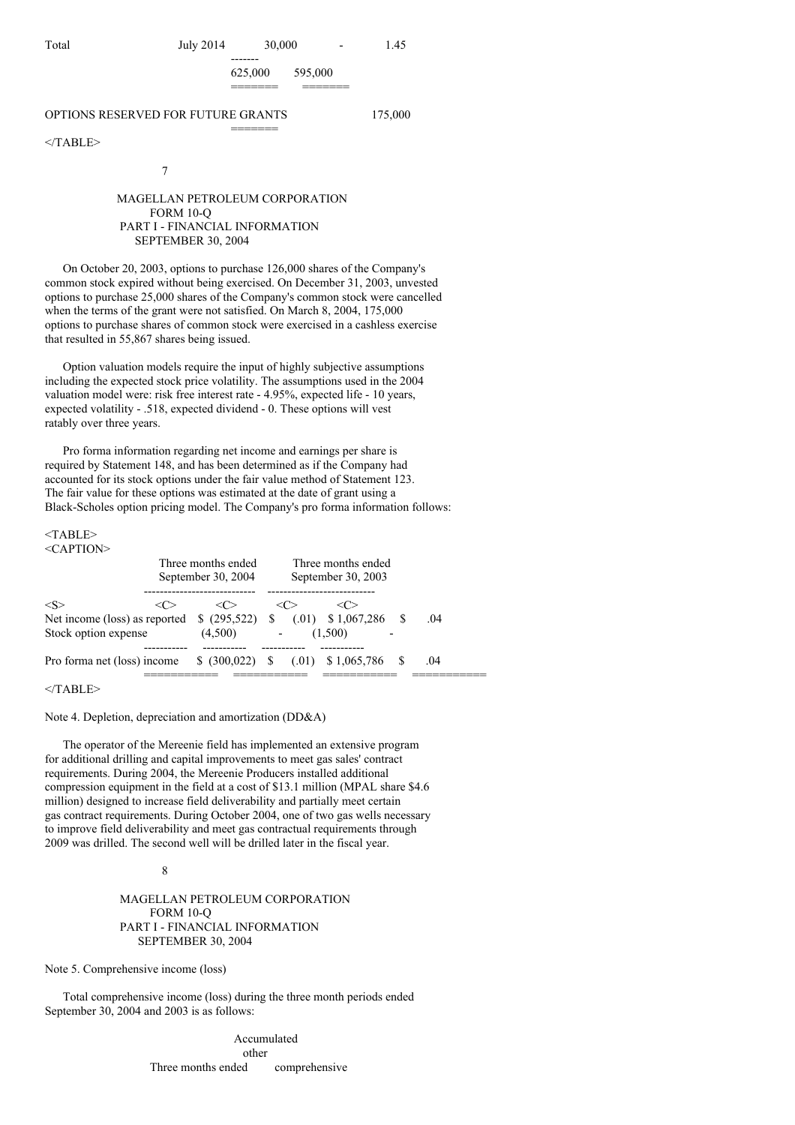-------

=======

625,000 595,000 ======= =======

#### OPTIONS RESERVED FOR FUTURE GRANTS 175,000

 $<$ /TABLE>

7

### MAGELLAN PETROLEUM CORPORATION FORM 10-Q PART I - FINANCIAL INFORMATION SEPTEMBER 30, 2004

On October 20, 2003, options to purchase 126,000 shares of the Company's common stock expired without being exercised. On December 31, 2003, unvested options to purchase 25,000 shares of the Company's common stock were cancelled when the terms of the grant were not satisfied. On March 8, 2004, 175,000 options to purchase shares of common stock were exercised in a cashless exercise that resulted in 55,867 shares being issued.

Option valuation models require the input of highly subjective assumptions including the expected stock price volatility. The assumptions used in the 2004 valuation model were: risk free interest rate - 4.95%, expected life - 10 years, expected volatility - .518, expected dividend - 0. These options will vest ratably over three years.

Pro forma information regarding net income and earnings per share is required by Statement 148, and has been determined as if the Company had accounted for its stock options under the fair value method of Statement 123. The fair value for these options was estimated at the date of grant using a Black-Scholes option pricing model. The Company's pro forma information follows:

#### <TABLE> <CAPTION>

|                                                                        |            | Three months ended<br>September 30, 2004 |                    |       | Three months ended<br>September 30, 2003 |                    |  |
|------------------------------------------------------------------------|------------|------------------------------------------|--------------------|-------|------------------------------------------|--------------------|--|
| $<\!\!S\!\!>$<br>Net income (loss) as reported<br>Stock option expense |            | (295, 522)<br>(4.500)                    |                    | (.01) | \$1,067,286<br>(1.500)                   | .04                |  |
| Pro forma net (loss) income                                            | __________ | \$ (300,022)                             | - S<br>___________ | (.01) | __________                               | .04<br>___________ |  |

 $<$ /TABLE>

Note 4. Depletion, depreciation and amortization (DD&A)

The operator of the Mereenie field has implemented an extensive program for additional drilling and capital improvements to meet gas sales' contract requirements. During 2004, the Mereenie Producers installed additional compression equipment in the field at a cost of \$13.1 million (MPAL share \$4.6 million) designed to increase field deliverability and partially meet certain gas contract requirements. During October 2004, one of two gas wells necessary to improve field deliverability and meet gas contractual requirements through 2009 was drilled. The second well will be drilled later in the fiscal year.

8

# MAGELLAN PETROLEUM CORPORATION FORM 10-Q PART I - FINANCIAL INFORMATION SEPTEMBER 30, 2004

Note 5. Comprehensive income (loss)

Total comprehensive income (loss) during the three month periods ended September 30, 2004 and 2003 is as follows:

> Accumulated other Three months ended comprehensive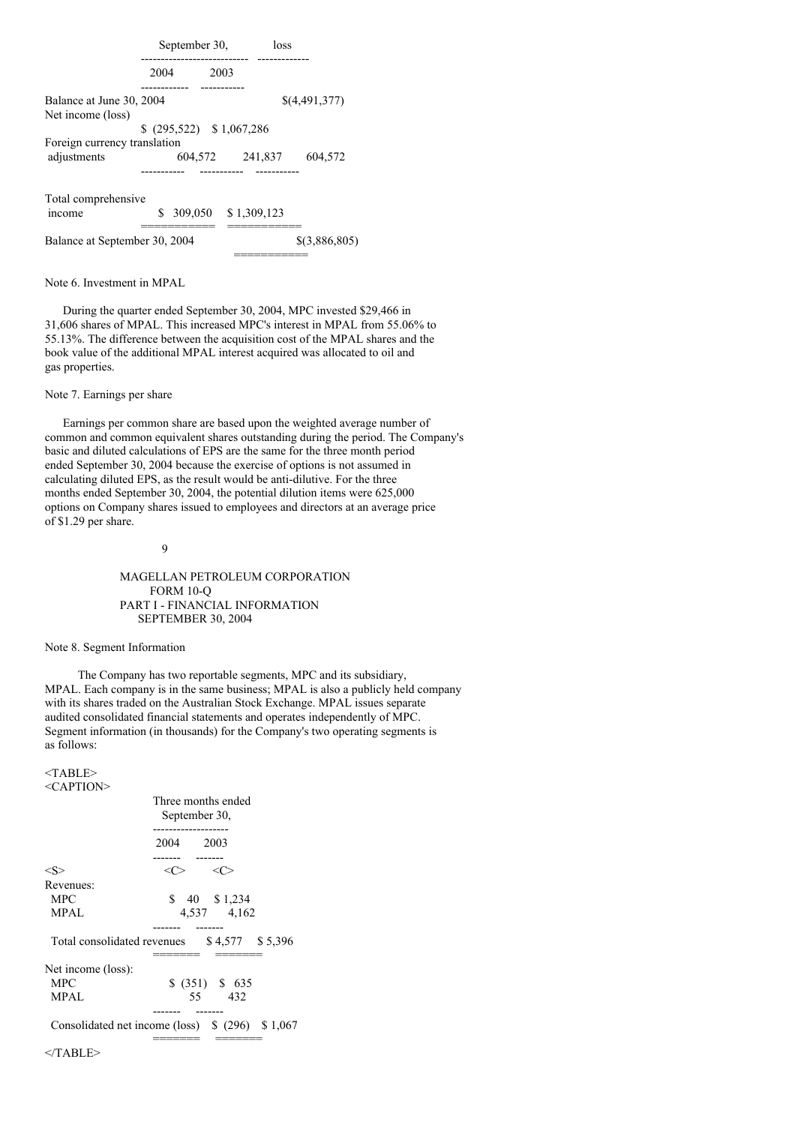|                                               |                                | September 30, |         | loss                |                 |
|-----------------------------------------------|--------------------------------|---------------|---------|---------------------|-----------------|
|                                               | 2004                           |               | 2003    |                     |                 |
| Balance at June 30, 2004<br>Net income (loss) |                                |               |         |                     | \$(4,491,377)   |
|                                               | $$ (295,522) \quad $1,067,286$ |               |         |                     |                 |
| Foreign currency translation<br>adjustments   |                                |               | 604,572 | 241,837             | 604,572         |
| Total comprehensive<br>income                 | S                              |               |         | 309,050 \$1,309,123 |                 |
| Balance at September 30, 2004                 |                                |               |         |                     | $$$ (3,886,805) |

# Note 6. Investment in MPAL

During the quarter ended September 30, 2004, MPC invested \$29,466 in 31,606 shares of MPAL. This increased MPC's interest in MPAL from 55.06% to 55.13%. The difference between the acquisition cost of the MPAL shares and the book value of the additional MPAL interest acquired was allocated to oil and gas properties.

Note 7. Earnings per share

Earnings per common share are based upon the weighted average number of common and common equivalent shares outstanding during the period. The Company's basic and diluted calculations of EPS are the same for the three month period ended September 30, 2004 because the exercise of options is not assumed in calculating diluted EPS, as the result would be anti-dilutive. For the three months ended September 30, 2004, the potential dilution items were 625,000 options on Company shares issued to employees and directors at an average price of \$1.29 per share.

9

# MAGELLAN PETROLEUM CORPORATION FORM 10-Q PART I - FINANCIAL INFORMATION SEPTEMBER 30, 2004

### Note 8. Segment Information

The Company has two reportable segments, MPC and its subsidiary, MPAL. Each company is in the same business; MPAL is also a publicly held company with its shares traded on the Australian Stock Exchange. MPAL issues separate audited consolidated financial statements and operates independently of MPC. Segment information (in thousands) for the Company's two operating segments is as follows:

<TABLE> <CAPTION>

|                    | Three months ended<br>September 30,              |  |  |  |  |  |
|--------------------|--------------------------------------------------|--|--|--|--|--|
|                    | ------------<br>2004 2003                        |  |  |  |  |  |
|                    |                                                  |  |  |  |  |  |
| $<\!\!S\!\!>$      | <<><br>$\langle$ C                               |  |  |  |  |  |
| Revenues:          |                                                  |  |  |  |  |  |
| <b>MPC</b>         | $$40 \quad $1,234$                               |  |  |  |  |  |
| <b>MPAL</b>        | 4,537 4,162                                      |  |  |  |  |  |
|                    |                                                  |  |  |  |  |  |
|                    | Total consolidated revenues \$4,577 \$5,396      |  |  |  |  |  |
|                    |                                                  |  |  |  |  |  |
| Net income (loss): |                                                  |  |  |  |  |  |
| <b>MPC</b>         | \$ (351) \$ \$635                                |  |  |  |  |  |
| MPAL               | 55 432                                           |  |  |  |  |  |
|                    | Consolidated net income (loss) $$ (296) $ 1,067$ |  |  |  |  |  |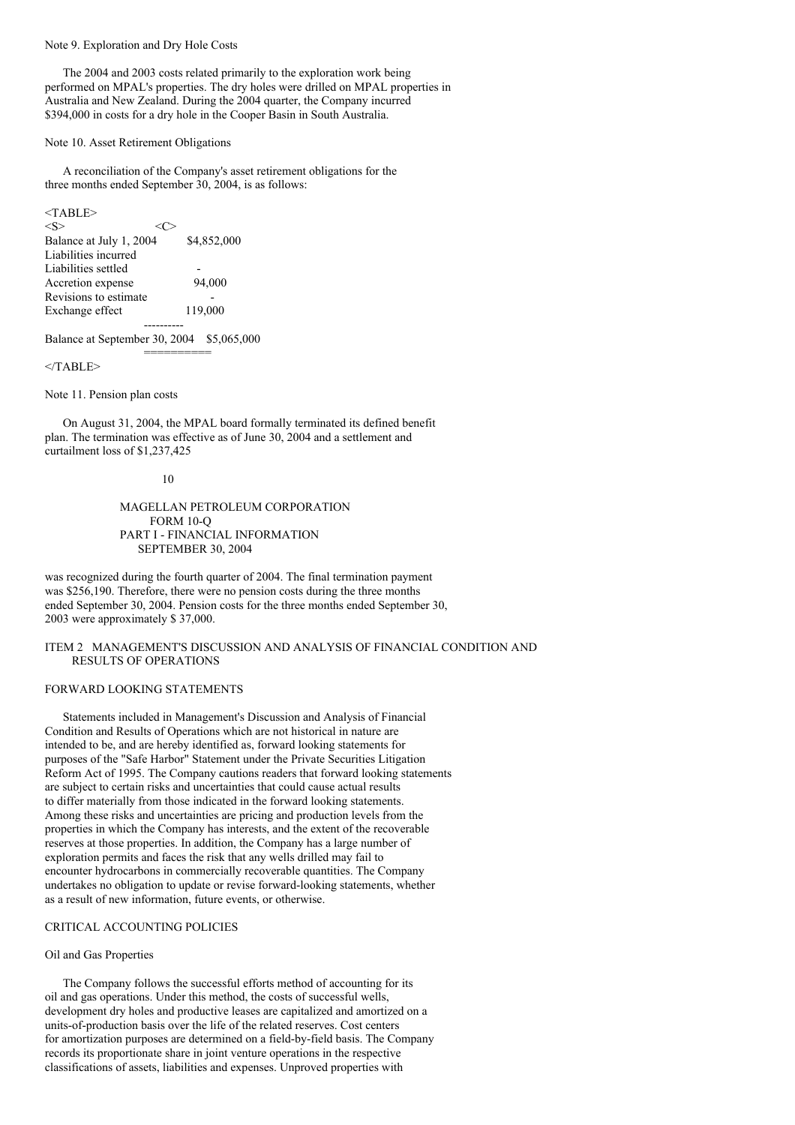Note 9. Exploration and Dry Hole Costs

The 2004 and 2003 costs related primarily to the exploration work being performed on MPAL's properties. The dry holes were drilled on MPAL properties in Australia and New Zealand. During the 2004 quarter, the Company incurred \$394,000 in costs for a dry hole in the Cooper Basin in South Australia.

### Note 10. Asset Retirement Obligations

A reconciliation of the Company's asset retirement obligations for the three months ended September 30, 2004, is as follows:

<TABLE>  $\langle S \rangle$   $\langle C \rangle$ Balance at July 1, 2004 \$4,852,000 Liabilities incurred Liabilities settled Accretion expense 94,000 Revisions to estimate Exchange effect 119,000 ----------

Balance at September 30, 2004 \$5,065,000

==========

</TABLE>

Note 11. Pension plan costs

On August 31, 2004, the MPAL board formally terminated its defined benefit plan. The termination was effective as of June 30, 2004 and a settlement and curtailment loss of \$1,237,425

#### 10

MAGELLAN PETROLEUM CORPORATION FORM 10-Q PART I - FINANCIAL INFORMATION SEPTEMBER 30, 2004

was recognized during the fourth quarter of 2004. The final termination payment was \$256,190. Therefore, there were no pension costs during the three months ended September 30, 2004. Pension costs for the three months ended September 30, 2003 were approximately \$ 37,000.

### ITEM 2 MANAGEMENT'S DISCUSSION AND ANALYSIS OF FINANCIAL CONDITION AND RESULTS OF OPERATIONS

#### FORWARD LOOKING STATEMENTS

Statements included in Management's Discussion and Analysis of Financial Condition and Results of Operations which are not historical in nature are intended to be, and are hereby identified as, forward looking statements for purposes of the "Safe Harbor" Statement under the Private Securities Litigation Reform Act of 1995. The Company cautions readers that forward looking statements are subject to certain risks and uncertainties that could cause actual results to differ materially from those indicated in the forward looking statements. Among these risks and uncertainties are pricing and production levels from the properties in which the Company has interests, and the extent of the recoverable reserves at those properties. In addition, the Company has a large number of exploration permits and faces the risk that any wells drilled may fail to encounter hydrocarbons in commercially recoverable quantities. The Company undertakes no obligation to update or revise forward-looking statements, whether as a result of new information, future events, or otherwise.

# CRITICAL ACCOUNTING POLICIES

## Oil and Gas Properties

The Company follows the successful efforts method of accounting for its oil and gas operations. Under this method, the costs of successful wells, development dry holes and productive leases are capitalized and amortized on a units-of-production basis over the life of the related reserves. Cost centers for amortization purposes are determined on a field-by-field basis. The Company records its proportionate share in joint venture operations in the respective classifications of assets, liabilities and expenses. Unproved properties with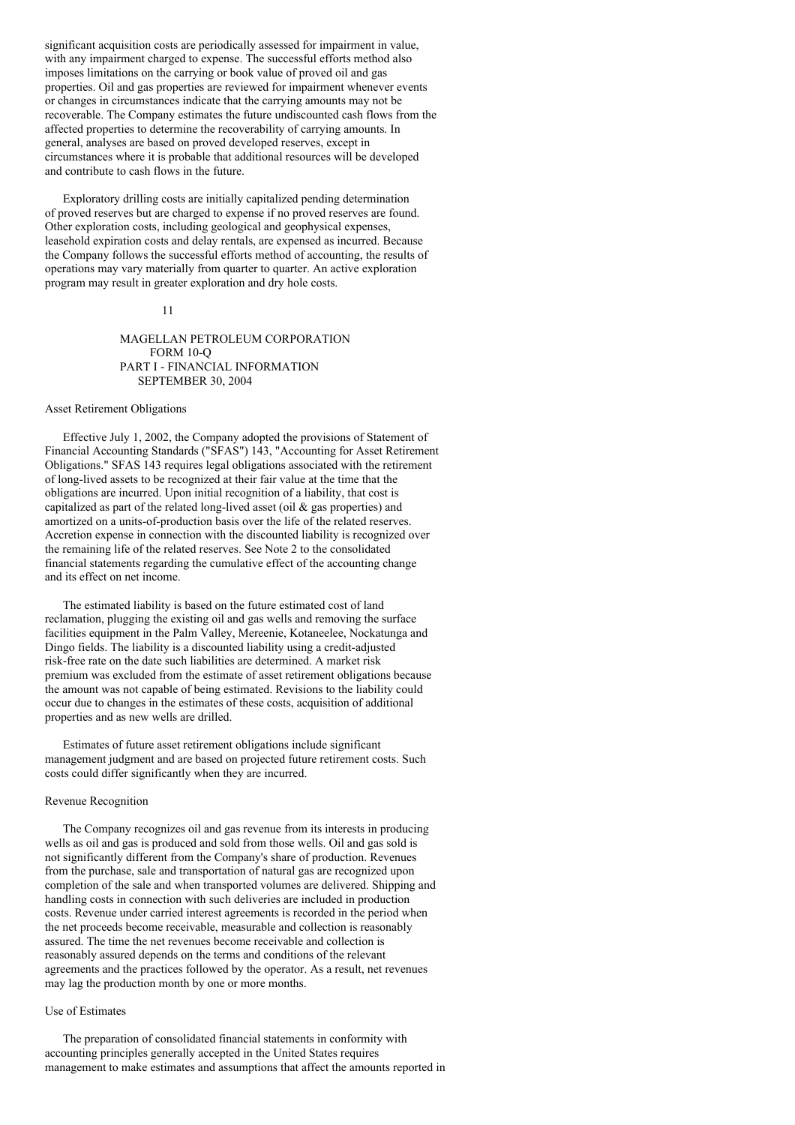significant acquisition costs are periodically assessed for impairment in value, with any impairment charged to expense. The successful efforts method also imposes limitations on the carrying or book value of proved oil and gas properties. Oil and gas properties are reviewed for impairment whenever events or changes in circumstances indicate that the carrying amounts may not be recoverable. The Company estimates the future undiscounted cash flows from the affected properties to determine the recoverability of carrying amounts. In general, analyses are based on proved developed reserves, except in circumstances where it is probable that additional resources will be developed and contribute to cash flows in the future.

Exploratory drilling costs are initially capitalized pending determination of proved reserves but are charged to expense if no proved reserves are found. Other exploration costs, including geological and geophysical expenses, leasehold expiration costs and delay rentals, are expensed as incurred. Because the Company follows the successful efforts method of accounting, the results of operations may vary materially from quarter to quarter. An active exploration program may result in greater exploration and dry hole costs.

#### 11

# MAGELLAN PETROLEUM CORPORATION FORM 10-Q PART I - FINANCIAL INFORMATION SEPTEMBER 30, 2004

# Asset Retirement Obligations

Effective July 1, 2002, the Company adopted the provisions of Statement of Financial Accounting Standards ("SFAS") 143, "Accounting for Asset Retirement Obligations." SFAS 143 requires legal obligations associated with the retirement of long-lived assets to be recognized at their fair value at the time that the obligations are incurred. Upon initial recognition of a liability, that cost is capitalized as part of the related long-lived asset (oil  $\&$  gas properties) and amortized on a units-of-production basis over the life of the related reserves. Accretion expense in connection with the discounted liability is recognized over the remaining life of the related reserves. See Note 2 to the consolidated financial statements regarding the cumulative effect of the accounting change and its effect on net income.

The estimated liability is based on the future estimated cost of land reclamation, plugging the existing oil and gas wells and removing the surface facilities equipment in the Palm Valley, Mereenie, Kotaneelee, Nockatunga and Dingo fields. The liability is a discounted liability using a credit-adjusted risk-free rate on the date such liabilities are determined. A market risk premium was excluded from the estimate of asset retirement obligations because the amount was not capable of being estimated. Revisions to the liability could occur due to changes in the estimates of these costs, acquisition of additional properties and as new wells are drilled.

Estimates of future asset retirement obligations include significant management judgment and are based on projected future retirement costs. Such costs could differ significantly when they are incurred.

#### Revenue Recognition

The Company recognizes oil and gas revenue from its interests in producing wells as oil and gas is produced and sold from those wells. Oil and gas sold is not significantly different from the Company's share of production. Revenues from the purchase, sale and transportation of natural gas are recognized upon completion of the sale and when transported volumes are delivered. Shipping and handling costs in connection with such deliveries are included in production costs. Revenue under carried interest agreements is recorded in the period when the net proceeds become receivable, measurable and collection is reasonably assured. The time the net revenues become receivable and collection is reasonably assured depends on the terms and conditions of the relevant agreements and the practices followed by the operator. As a result, net revenues may lag the production month by one or more months.

### Use of Estimates

The preparation of consolidated financial statements in conformity with accounting principles generally accepted in the United States requires management to make estimates and assumptions that affect the amounts reported in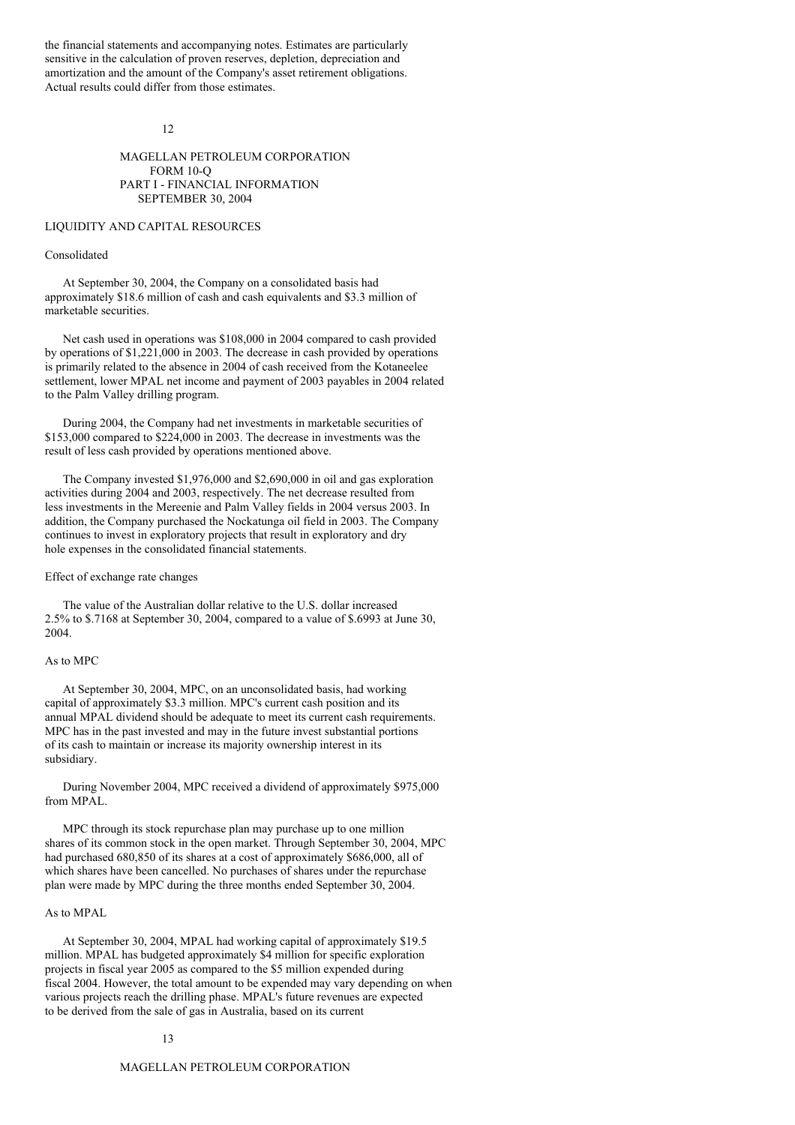the financial statements and accompanying notes. Estimates are particularly sensitive in the calculation of proven reserves, depletion, depreciation and amortization and the amount of the Company's asset retirement obligations. Actual results could differ from those estimates.

### 12

### MAGELLAN PETROLEUM CORPORATION FORM 10-Q PART I - FINANCIAL INFORMATION SEPTEMBER 30, 2004

# LIQUIDITY AND CAPITAL RESOURCES

### Consolidated

At September 30, 2004, the Company on a consolidated basis had approximately \$18.6 million of cash and cash equivalents and \$3.3 million of marketable securities.

Net cash used in operations was \$108,000 in 2004 compared to cash provided by operations of \$1,221,000 in 2003. The decrease in cash provided by operations is primarily related to the absence in 2004 of cash received from the Kotaneelee settlement, lower MPAL net income and payment of 2003 payables in 2004 related to the Palm Valley drilling program.

During 2004, the Company had net investments in marketable securities of \$153,000 compared to \$224,000 in 2003. The decrease in investments was the result of less cash provided by operations mentioned above.

The Company invested \$1,976,000 and \$2,690,000 in oil and gas exploration activities during 2004 and 2003, respectively. The net decrease resulted from less investments in the Mereenie and Palm Valley fields in 2004 versus 2003. In addition, the Company purchased the Nockatunga oil field in 2003. The Company continues to invest in exploratory projects that result in exploratory and dry hole expenses in the consolidated financial statements.

### Effect of exchange rate changes

The value of the Australian dollar relative to the U.S. dollar increased 2.5% to \$.7168 at September 30, 2004, compared to a value of \$.6993 at June 30, 2004.

### As to MPC

At September 30, 2004, MPC, on an unconsolidated basis, had working capital of approximately \$3.3 million. MPC's current cash position and its annual MPAL dividend should be adequate to meet its current cash requirements. MPC has in the past invested and may in the future invest substantial portions of its cash to maintain or increase its majority ownership interest in its subsidiary.

During November 2004, MPC received a dividend of approximately \$975,000 from MPAL.

MPC through its stock repurchase plan may purchase up to one million shares of its common stock in the open market. Through September 30, 2004, MPC had purchased 680,850 of its shares at a cost of approximately \$686,000, all of which shares have been cancelled. No purchases of shares under the repurchase plan were made by MPC during the three months ended September 30, 2004.

### As to MPAL

At September 30, 2004, MPAL had working capital of approximately \$19.5 million. MPAL has budgeted approximately \$4 million for specific exploration projects in fiscal year 2005 as compared to the \$5 million expended during fiscal 2004. However, the total amount to be expended may vary depending on when various projects reach the drilling phase. MPAL's future revenues are expected to be derived from the sale of gas in Australia, based on its current

# 13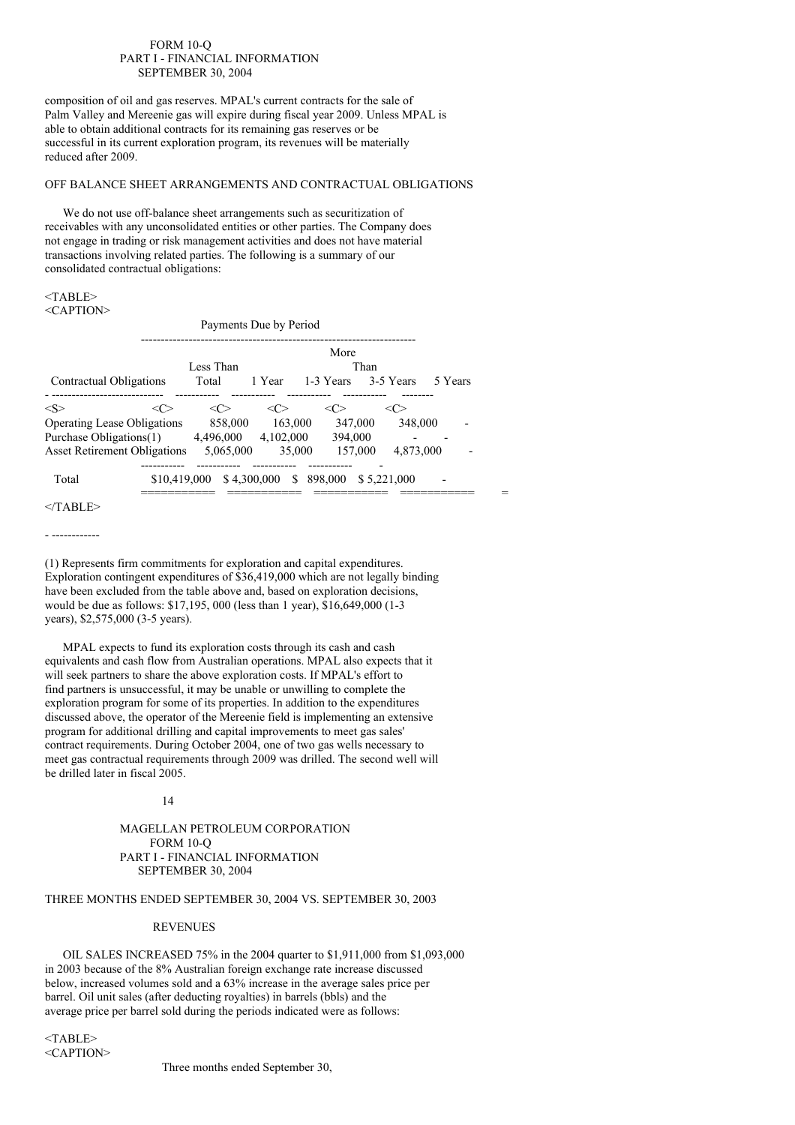## FORM 10-Q PART I - FINANCIAL INFORMATION SEPTEMBER 30, 2004

composition of oil and gas reserves. MPAL's current contracts for the sale of Palm Valley and Mereenie gas will expire during fiscal year 2009. Unless MPAL is able to obtain additional contracts for its remaining gas reserves or be successful in its current exploration program, its revenues will be materially reduced after 2009.

# OFF BALANCE SHEET ARRANGEMENTS AND CONTRACTUAL OBLIGATIONS

We do not use off-balance sheet arrangements such as securitization of receivables with any unconsolidated entities or other parties. The Company does not engage in trading or risk management activities and does not have material transactions involving related parties. The following is a summary of our consolidated contractual obligations:

#### <TABLE>  $\angle C$  A DTION

| $\sim$ AI 11018 $\approx$<br>Payments Due by Period |              |           |                  |              |             |           |         |  |
|-----------------------------------------------------|--------------|-----------|------------------|--------------|-------------|-----------|---------|--|
|                                                     |              | Less Than |                  | More<br>Than |             |           |         |  |
| Contractual Obligations                             |              | Total     | 1 Year           | 1-3 Years    | 3-5 Years   |           | 5 Years |  |
| $<\!\!S\!\!>$                                       | <േ           | <்        | <( '>            | <( '>        | <( `>       |           |         |  |
| <b>Operating Lease Obligations</b>                  |              | 858,000   | 163,000          |              | 347,000     | 348,000   |         |  |
| Purchase Obligations(1)                             |              | 4,496,000 | 4,102,000        | 394,000      |             |           |         |  |
| <b>Asset Retirement Obligations</b>                 |              | 5.065,000 | 35,000           |              | 157,000     | 4.873,000 |         |  |
| Total                                               | \$10,419,000 |           | \$4.300,000<br>S | 898,000      | \$5,221,000 |           |         |  |
|                                                     |              |           |                  |              |             |           |         |  |

  |  | \_\_\_\_\_\_\_\_\_\_\_\_\_\_\_ | \_\_\_\_\_\_\_\_\_\_\_\_\_\_ |  |  |  |<sup>-</sup> ------------

(1) Represents firm commitments for exploration and capital expenditures. Exploration contingent expenditures of \$36,419,000 which are not legally binding have been excluded from the table above and, based on exploration decisions, would be due as follows: \$17,195, 000 (less than 1 year), \$16,649,000 (1-3 years), \$2,575,000 (3-5 years).

MPAL expects to fund its exploration costs through its cash and cash equivalents and cash flow from Australian operations. MPAL also expects that it will seek partners to share the above exploration costs. If MPAL's effort to find partners is unsuccessful, it may be unable or unwilling to complete the exploration program for some of its properties. In addition to the expenditures discussed above, the operator of the Mereenie field is implementing an extensive program for additional drilling and capital improvements to meet gas sales' contract requirements. During October 2004, one of two gas wells necessary to meet gas contractual requirements through 2009 was drilled. The second well will be drilled later in fiscal 2005.

# 14

# MAGELLAN PETROLEUM CORPORATION FORM 10-Q PART I - FINANCIAL INFORMATION SEPTEMBER 30, 2004

# THREE MONTHS ENDED SEPTEMBER 30, 2004 VS. SEPTEMBER 30, 2003

# REVENUES

OIL SALES INCREASED 75% in the 2004 quarter to \$1,911,000 from \$1,093,000 in 2003 because of the 8% Australian foreign exchange rate increase discussed below, increased volumes sold and a 63% increase in the average sales price per barrel. Oil unit sales (after deducting royalties) in barrels (bbls) and the average price per barrel sold during the periods indicated were as follows:

 $<$ TABLE> <CAPTION>

Three months ended September 30,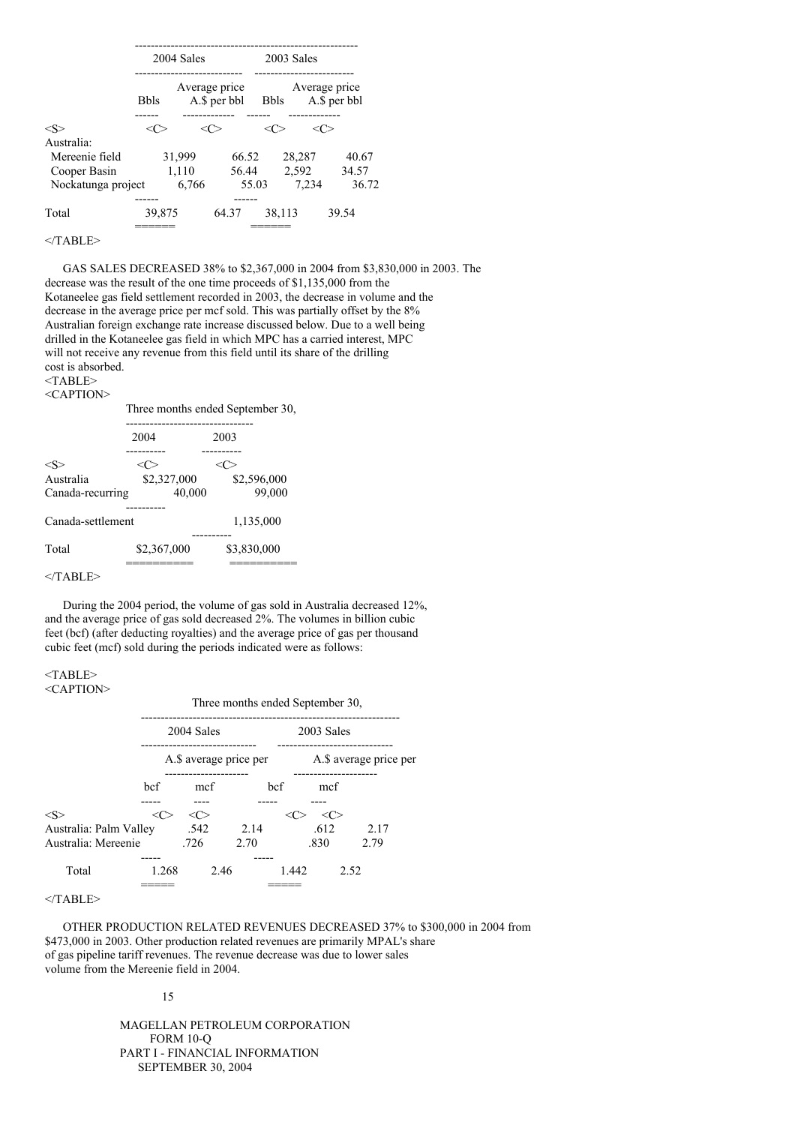|                    | 2004 Sales   |        |                               | 2003 Sales  |               |              |  |
|--------------------|--------------|--------|-------------------------------|-------------|---------------|--------------|--|
|                    | <b>B</b> bls |        | Average price<br>A.\$ per bbl | <b>Bbls</b> | Average price | A.\$ per bbl |  |
| $<\leq$            | <( ≫         |        | $< \!\! C \!\!>$              |             | <( `>         |              |  |
| Australia:         |              |        |                               |             |               |              |  |
| Mereenie field     |              | 31,999 | 66.52                         |             | 28,287        | 40.67        |  |
| Cooper Basin       |              | 1,110  | 56.44                         |             | 2.592         | 34.57        |  |
| Nockatunga project |              | 6,766  | 55.03                         |             | 7.234         | 36.72        |  |
|                    |              |        |                               |             |               |              |  |
| Total              | 39,875       |        | 64.37                         | 38.113      |               | 39.54        |  |
|                    |              |        |                               |             |               |              |  |

GAS SALES DECREASED 38% to \$2,367,000 in 2004 from \$3,830,000 in 2003. The decrease was the result of the one time proceeds of \$1,135,000 from the Kotaneelee gas field settlement recorded in 2003, the decrease in volume and the decrease in the average price per mcf sold. This was partially offset by the 8% Australian foreign exchange rate increase discussed below. Due to a well being drilled in the Kotaneelee gas field in which MPC has a carried interest, MPC will not receive any revenue from this field until its share of the drilling cost is absorbed.  $<$ TABLE>

<CAPTION>

Three months ended September 30,

|                   | 2004        | 2003        |
|-------------------|-------------|-------------|
|                   |             |             |
| $<\!\!S\!\!>$     |             |             |
| Australia         | \$2,327,000 | \$2,596,000 |
| Canada-recurring  | 40,000      | 99,000      |
|                   |             |             |
| Canada-settlement |             | 1,135,000   |
|                   |             |             |
| Total             | \$2,367,000 | \$3,830,000 |
|                   | ________    | _______     |

 $<$ /TABLE>

During the 2004 period, the volume of gas sold in Australia decreased 12%, and the average price of gas sold decreased 2%. The volumes in billion cubic feet (bcf) (after deducting royalties) and the average price of gas per thousand cubic feet (mcf) sold during the periods indicated were as follows:

# <TABLE>

| $\langle CAPTION \rangle$ | Three months ended September 30, |                        |      |       |                        |      |  |  |
|---------------------------|----------------------------------|------------------------|------|-------|------------------------|------|--|--|
|                           |                                  | 2004 Sales             |      |       | 2003 Sales             |      |  |  |
|                           |                                  | A.\$ average price per |      |       | A.\$ average price per |      |  |  |
|                           | bcf                              | mcf                    |      | bcf   | mcf                    |      |  |  |
| $<\!\!S\!\!>$             | <( '>                            | <c></c>                |      | <≀ ∵  | <c></c>                |      |  |  |
| Australia: Palm Valley    |                                  | .542                   | 2.14 |       | .612                   | 2.17 |  |  |
| Australia: Mereenie       |                                  | .726                   | 2.70 | .830  |                        | 2.79 |  |  |
|                           |                                  |                        |      |       |                        |      |  |  |
| Total                     | 1.268                            | 2.46                   |      | 1.442 | 2.52                   |      |  |  |
|                           |                                  |                        |      |       |                        |      |  |  |

 $<$ /TABLE>

OTHER PRODUCTION RELATED REVENUES DECREASED 37% to \$300,000 in 2004 from \$473,000 in 2003. Other production related revenues are primarily MPAL's share of gas pipeline tariff revenues. The revenue decrease was due to lower sales volume from the Mereenie field in 2004.

15

MAGELLAN PETROLEUM CORPORATION FORM 10-Q PART I - FINANCIAL INFORMATION SEPTEMBER 30, 2004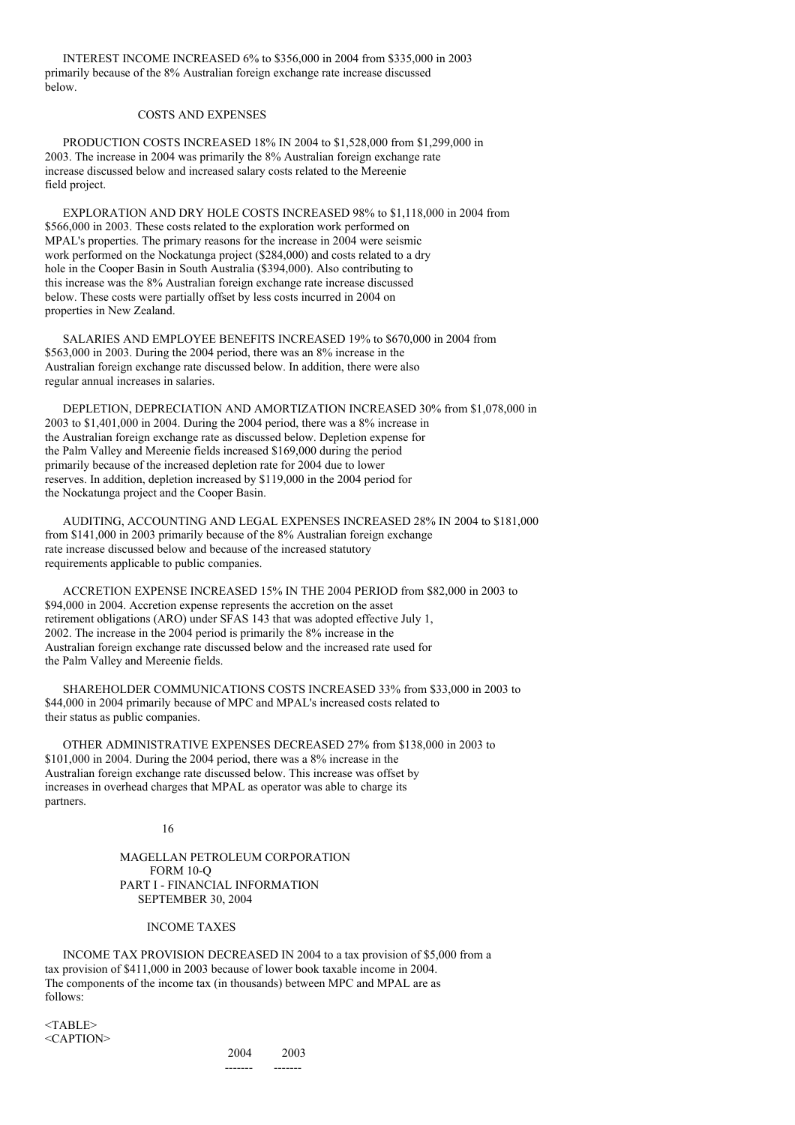INTEREST INCOME INCREASED 6% to \$356,000 in 2004 from \$335,000 in 2003 primarily because of the 8% Australian foreign exchange rate increase discussed below.

### COSTS AND EXPENSES

PRODUCTION COSTS INCREASED 18% IN 2004 to \$1,528,000 from \$1,299,000 in 2003. The increase in 2004 was primarily the 8% Australian foreign exchange rate increase discussed below and increased salary costs related to the Mereenie field project.

EXPLORATION AND DRY HOLE COSTS INCREASED 98% to \$1,118,000 in 2004 from \$566,000 in 2003. These costs related to the exploration work performed on MPAL's properties. The primary reasons for the increase in 2004 were seismic work performed on the Nockatunga project (\$284,000) and costs related to a dry hole in the Cooper Basin in South Australia (\$394,000). Also contributing to this increase was the 8% Australian foreign exchange rate increase discussed below. These costs were partially offset by less costs incurred in 2004 on properties in New Zealand.

SALARIES AND EMPLOYEE BENEFITS INCREASED 19% to \$670,000 in 2004 from \$563,000 in 2003. During the 2004 period, there was an 8% increase in the Australian foreign exchange rate discussed below. In addition, there were also regular annual increases in salaries.

DEPLETION, DEPRECIATION AND AMORTIZATION INCREASED 30% from \$1,078,000 in 2003 to \$1,401,000 in 2004. During the 2004 period, there was a 8% increase in the Australian foreign exchange rate as discussed below. Depletion expense for the Palm Valley and Mereenie fields increased \$169,000 during the period primarily because of the increased depletion rate for 2004 due to lower reserves. In addition, depletion increased by \$119,000 in the 2004 period for the Nockatunga project and the Cooper Basin.

AUDITING, ACCOUNTING AND LEGAL EXPENSES INCREASED 28% IN 2004 to \$181,000 from \$141,000 in 2003 primarily because of the 8% Australian foreign exchange rate increase discussed below and because of the increased statutory requirements applicable to public companies.

ACCRETION EXPENSE INCREASED 15% IN THE 2004 PERIOD from \$82,000 in 2003 to \$94,000 in 2004. Accretion expense represents the accretion on the asset retirement obligations (ARO) under SFAS 143 that was adopted effective July 1, 2002. The increase in the 2004 period is primarily the 8% increase in the Australian foreign exchange rate discussed below and the increased rate used for the Palm Valley and Mereenie fields.

SHAREHOLDER COMMUNICATIONS COSTS INCREASED 33% from \$33,000 in 2003 to \$44,000 in 2004 primarily because of MPC and MPAL's increased costs related to their status as public companies.

OTHER ADMINISTRATIVE EXPENSES DECREASED 27% from \$138,000 in 2003 to \$101,000 in 2004. During the 2004 period, there was a 8% increase in the Australian foreign exchange rate discussed below. This increase was offset by increases in overhead charges that MPAL as operator was able to charge its partners.

16

MAGELLAN PETROLEUM CORPORATION FORM 10-Q PART I - FINANCIAL INFORMATION SEPTEMBER 30, 2004

# INCOME TAXES

INCOME TAX PROVISION DECREASED IN 2004 to a tax provision of \$5,000 from a tax provision of \$411,000 in 2003 because of lower book taxable income in 2004. The components of the income tax (in thousands) between MPC and MPAL are as follows:

<TABLE> <CAPTION>

2004 2003 ------- -------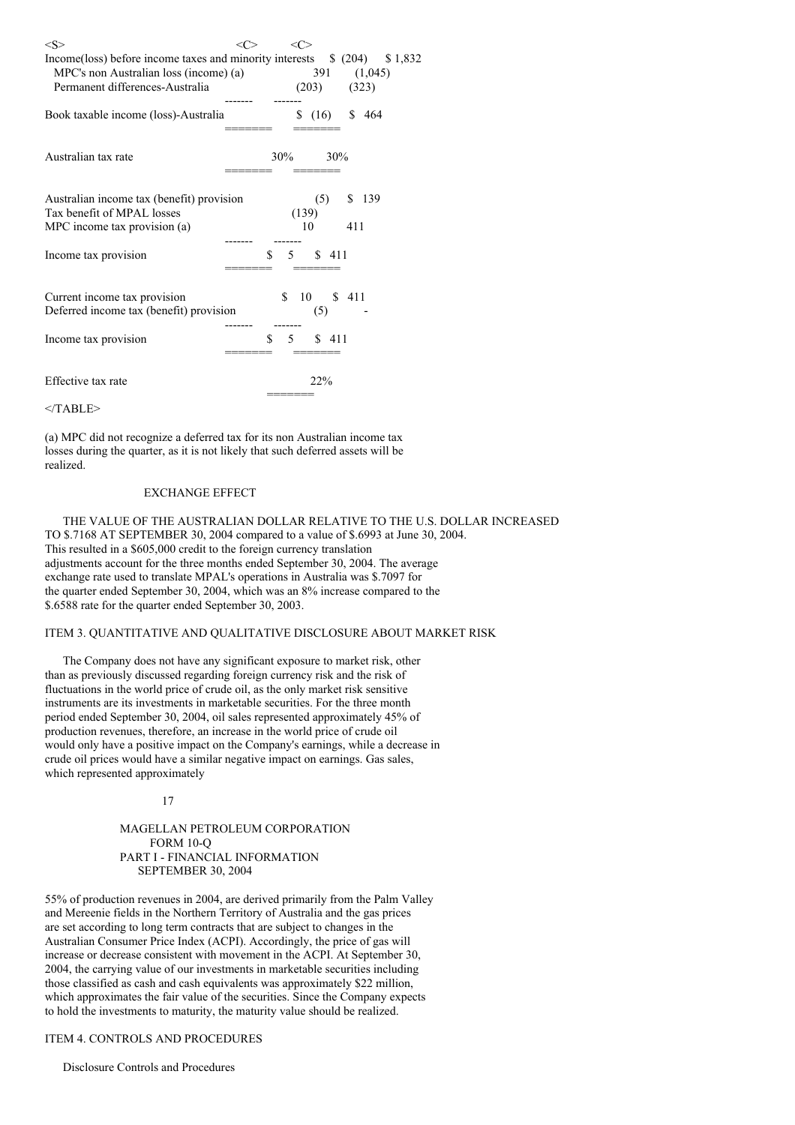| < S >                                                                                                                | $\langle C \rangle$ | $\langle$ C>  |        |                        |
|----------------------------------------------------------------------------------------------------------------------|---------------------|---------------|--------|------------------------|
| Income(loss) before income taxes and minority interests $$ (204) \$ 1,832$<br>MPC's non Australian loss (income) (a) |                     |               |        | 391 (1,045)            |
| Permanent differences-Australia                                                                                      |                     |               |        | $(203)$ $(323)$        |
| Book taxable income (loss)-Australia                                                                                 |                     |               |        | $\frac{16}{16}$ \$ 464 |
| Australian tax rate                                                                                                  |                     | $30\%$ $30\%$ |        |                        |
| Australian income tax (benefit) provision<br>Tax benefit of MPAL losses                                              |                     | (139)         | (5)    | \$139                  |
| MPC income tax provision (a)                                                                                         |                     |               | 10 411 |                        |
| Income tax provision                                                                                                 | S.                  | 5 \$ 411      |        |                        |
| Current income tax provision<br>Deferred income tax (benefit) provision                                              |                     | $$10$ $$411$  | (5)    |                        |
| Income tax provision                                                                                                 | S.                  | $5^{\circ}$   | \$ 411 |                        |
| Effective tax rate                                                                                                   |                     |               | 22%    |                        |

(a) MPC did not recognize a deferred tax for its non Australian income tax losses during the quarter, as it is not likely that such deferred assets will be realized.

# EXCHANGE EFFECT

THE VALUE OF THE AUSTRALIAN DOLLAR RELATIVE TO THE U.S. DOLLAR INCREASED TO \$.7168 AT SEPTEMBER 30, 2004 compared to a value of \$.6993 at June 30, 2004. This resulted in a \$605,000 credit to the foreign currency translation adjustments account for the three months ended September 30, 2004. The average exchange rate used to translate MPAL's operations in Australia was \$.7097 for the quarter ended September 30, 2004, which was an 8% increase compared to the \$.6588 rate for the quarter ended September 30, 2003.

### ITEM 3. QUANTITATIVE AND QUALITATIVE DISCLOSURE ABOUT MARKET RISK

The Company does not have any significant exposure to market risk, other than as previously discussed regarding foreign currency risk and the risk of fluctuations in the world price of crude oil, as the only market risk sensitive instruments are its investments in marketable securities. For the three month period ended September 30, 2004, oil sales represented approximately 45% of production revenues, therefore, an increase in the world price of crude oil would only have a positive impact on the Company's earnings, while a decrease in crude oil prices would have a similar negative impact on earnings. Gas sales, which represented approximately

17

# MAGELLAN PETROLEUM CORPORATION FORM 10-Q PART I - FINANCIAL INFORMATION SEPTEMBER 30, 2004

55% of production revenues in 2004, are derived primarily from the Palm Valley and Mereenie fields in the Northern Territory of Australia and the gas prices are set according to long term contracts that are subject to changes in the Australian Consumer Price Index (ACPI). Accordingly, the price of gas will increase or decrease consistent with movement in the ACPI. At September 30, 2004, the carrying value of our investments in marketable securities including those classified as cash and cash equivalents was approximately \$22 million, which approximates the fair value of the securities. Since the Company expects to hold the investments to maturity, the maturity value should be realized.

ITEM 4. CONTROLS AND PROCEDURES

Disclosure Controls and Procedures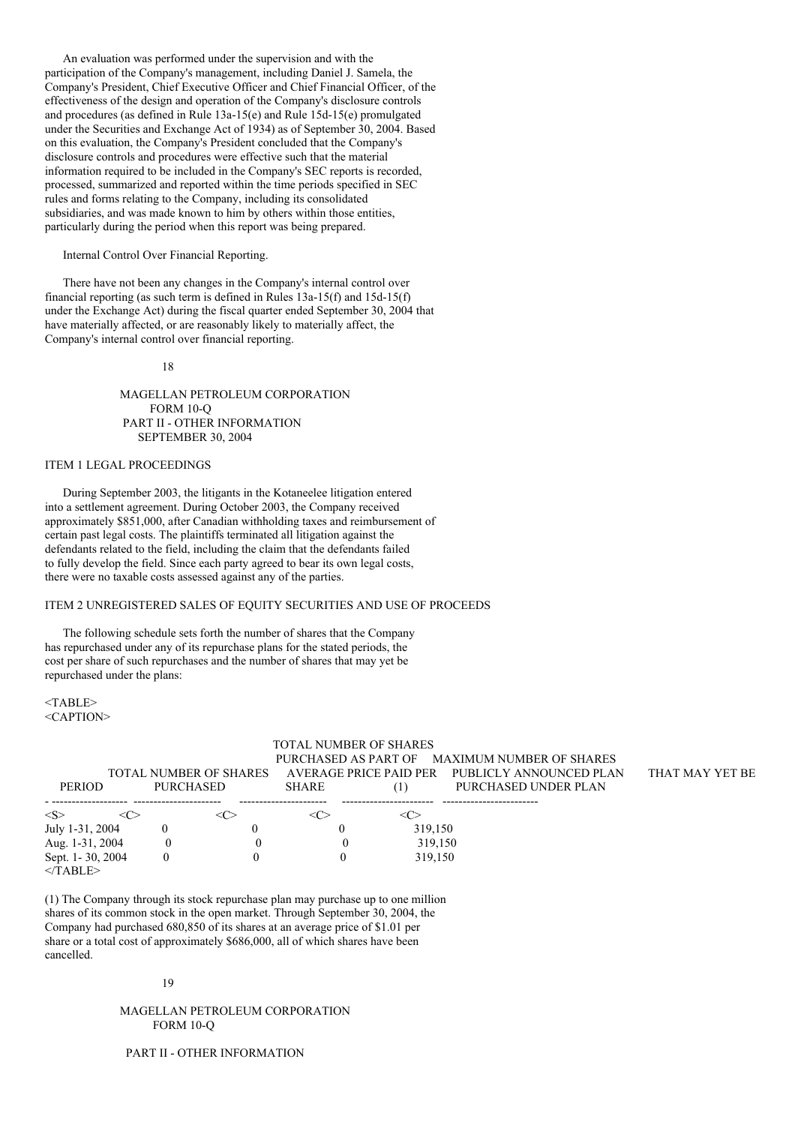An evaluation was performed under the supervision and with the participation of the Company's management, including Daniel J. Samela, the Company's President, Chief Executive Officer and Chief Financial Officer, of the effectiveness of the design and operation of the Company's disclosure controls and procedures (as defined in Rule 13a-15(e) and Rule 15d-15(e) promulgated under the Securities and Exchange Act of 1934) as of September 30, 2004. Based on this evaluation, the Company's President concluded that the Company's disclosure controls and procedures were effective such that the material information required to be included in the Company's SEC reports is recorded, processed, summarized and reported within the time periods specified in SEC rules and forms relating to the Company, including its consolidated subsidiaries, and was made known to him by others within those entities, particularly during the period when this report was being prepared.

Internal Control Over Financial Reporting.

There have not been any changes in the Company's internal control over financial reporting (as such term is defined in Rules 13a-15(f) and 15d-15(f) under the Exchange Act) during the fiscal quarter ended September 30, 2004 that have materially affected, or are reasonably likely to materially affect, the Company's internal control over financial reporting.

18

### MAGELLAN PETROLEUM CORPORATION FORM 10-Q PART II - OTHER INFORMATION SEPTEMBER 30, 2004

### ITEM 1 LEGAL PROCEEDINGS

During September 2003, the litigants in the Kotaneelee litigation entered into a settlement agreement. During October 2003, the Company received approximately \$851,000, after Canadian withholding taxes and reimbursement of certain past legal costs. The plaintiffs terminated all litigation against the defendants related to the field, including the claim that the defendants failed to fully develop the field. Since each party agreed to bear its own legal costs, there were no taxable costs assessed against any of the parties.

# ITEM 2 UNREGISTERED SALES OF EQUITY SECURITIES AND USE OF PROCEEDS

The following schedule sets forth the number of shares that the Company has repurchased under any of its repurchase plans for the stated periods, the cost per share of such repurchases and the number of shares that may yet be repurchased under the plans:

# $<$ TABLE>

<CAPTION>

 $<$ TABLE>

# TOTAL NUMBER OF SHARES PURCHASED AS PART OF MAXIMUM NUMBER OF SHARES TOTAL NUMBER OF SHARES AVERAGE PRICE PAID PER PUBLICLY ANNOUNCED PLAN THAT MAY YET BE PERIOD PURCHASED SHARE (1) PURCHASED UNDER PLAN - ------------------- ---------------------- ---------------------- ----------------------- ------------------------  $\langle S \rangle$   $\langle C \rangle$   $\langle C \rangle$   $\langle C \rangle$   $\langle C \rangle$ July 1-31, 2004 0 0 0 319,150 Aug. 1-31, 2004 0 0 0 319,150 Sept. 1 - 30, 2004 0 0 0 319,150

(1) The Company through its stock repurchase plan may purchase up to one million shares of its common stock in the open market. Through September 30, 2004, the Company had purchased 680,850 of its shares at an average price of \$1.01 per share or a total cost of approximately \$686,000, all of which shares have been cancelled.

#### 19

#### MAGELLAN PETROLEUM CORPORATION FORM 10-Q

PART II - OTHER INFORMATION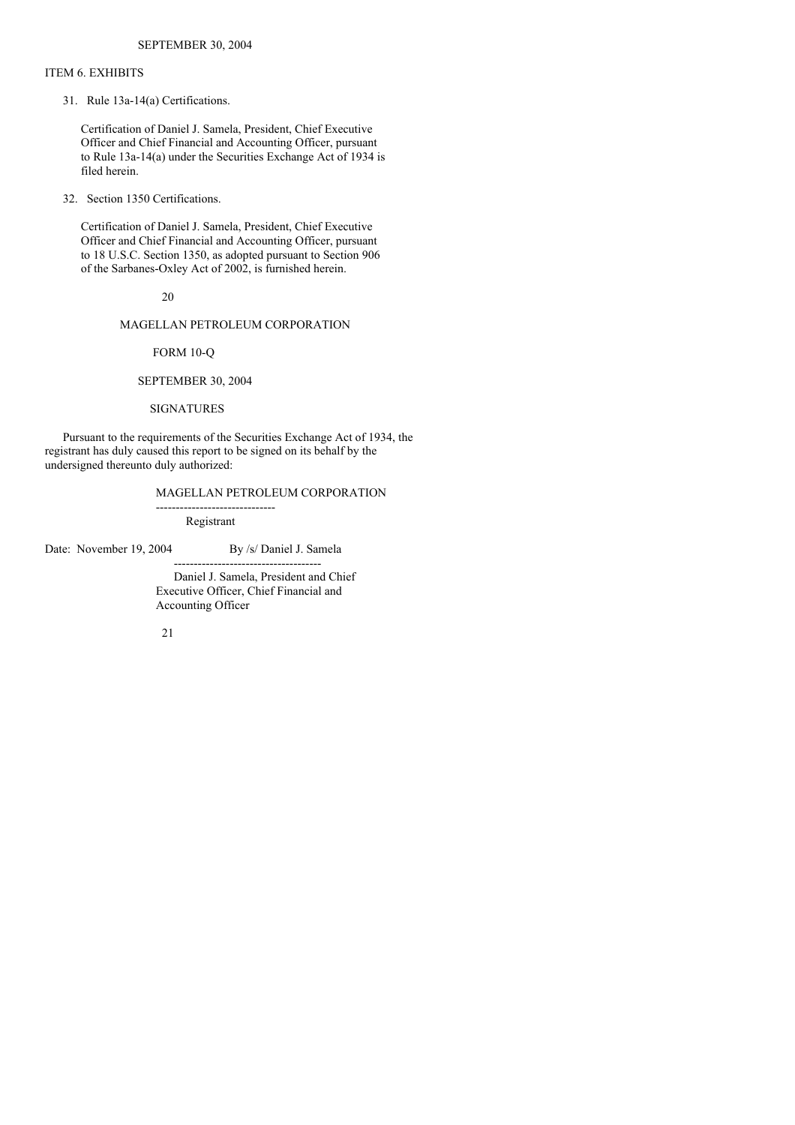# ITEM 6. EXHIBITS

31. Rule 13a-14(a) Certifications.

Certification of Daniel J. Samela, President, Chief Executive Officer and Chief Financial and Accounting Officer, pursuant to Rule 13a-14(a) under the Securities Exchange Act of 1934 is filed herein.

32. Section 1350 Certifications.

Certification of Daniel J. Samela, President, Chief Executive Officer and Chief Financial and Accounting Officer, pursuant to 18 U.S.C. Section 1350, as adopted pursuant to Section 906 of the Sarbanes-Oxley Act of 2002, is furnished herein.

20

## MAGELLAN PETROLEUM CORPORATION

FORM 10-Q

SEPTEMBER 30, 2004

SIGNATURES

Pursuant to the requirements of the Securities Exchange Act of 1934, the registrant has duly caused this report to be signed on its behalf by the undersigned thereunto duly authorized:

MAGELLAN PETROLEUM CORPORATION

------------------------------ Registrant

Date: November 19, 2004 By /s/ Daniel J. Samela

Daniel J. Samela, President and Chief Executive Officer, Chief Financial and Accounting Officer

-------------------------------------

21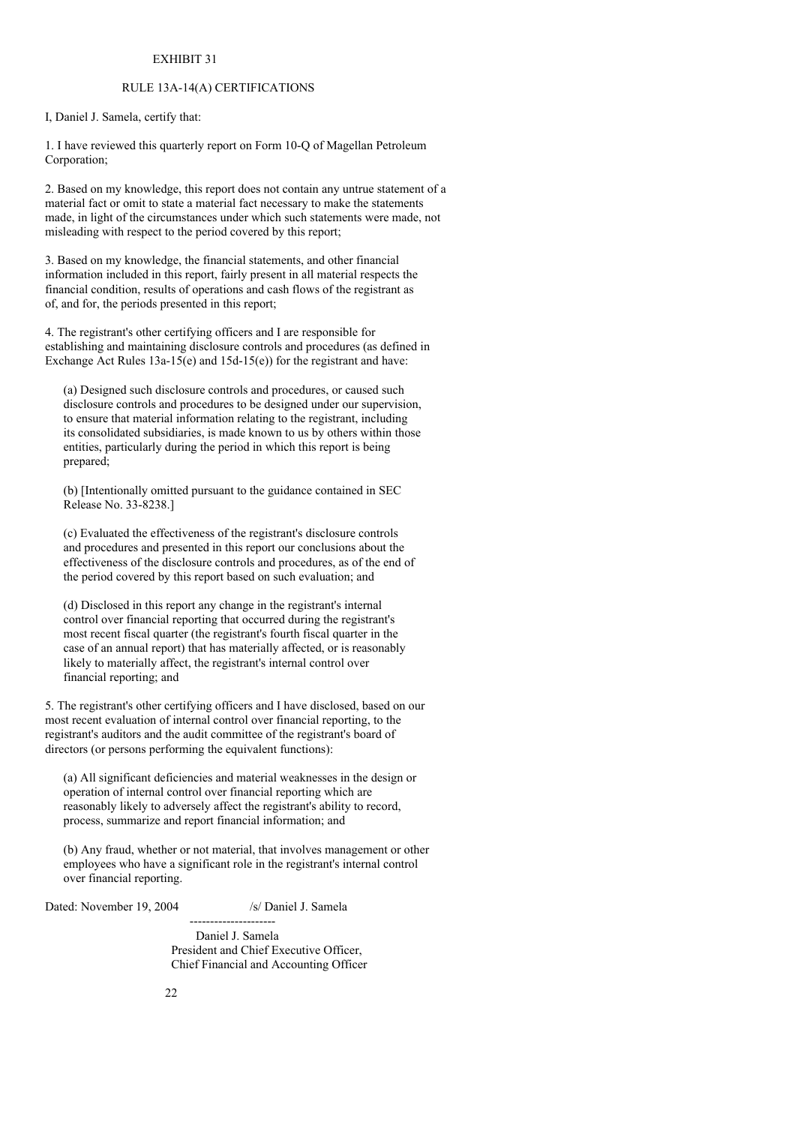# EXHIBIT 31

## RULE 13A-14(A) CERTIFICATIONS

I, Daniel J. Samela, certify that:

1. I have reviewed this quarterly report on Form 10-Q of Magellan Petroleum Corporation;

2. Based on my knowledge, this report does not contain any untrue statement of a material fact or omit to state a material fact necessary to make the statements made, in light of the circumstances under which such statements were made, not misleading with respect to the period covered by this report;

3. Based on my knowledge, the financial statements, and other financial information included in this report, fairly present in all material respects the financial condition, results of operations and cash flows of the registrant as of, and for, the periods presented in this report;

4. The registrant's other certifying officers and I are responsible for establishing and maintaining disclosure controls and procedures (as defined in Exchange Act Rules  $13a-15(e)$  and  $15d-15(e)$  for the registrant and have:

(a) Designed such disclosure controls and procedures, or caused such disclosure controls and procedures to be designed under our supervision, to ensure that material information relating to the registrant, including its consolidated subsidiaries, is made known to us by others within those entities, particularly during the period in which this report is being prepared;

(b) [Intentionally omitted pursuant to the guidance contained in SEC Release No. 33-8238.]

(c) Evaluated the effectiveness of the registrant's disclosure controls and procedures and presented in this report our conclusions about the effectiveness of the disclosure controls and procedures, as of the end of the period covered by this report based on such evaluation; and

(d) Disclosed in this report any change in the registrant's internal control over financial reporting that occurred during the registrant's most recent fiscal quarter (the registrant's fourth fiscal quarter in the case of an annual report) that has materially affected, or is reasonably likely to materially affect, the registrant's internal control over financial reporting; and

5. The registrant's other certifying officers and I have disclosed, based on our most recent evaluation of internal control over financial reporting, to the registrant's auditors and the audit committee of the registrant's board of directors (or persons performing the equivalent functions):

(a) All significant deficiencies and material weaknesses in the design or operation of internal control over financial reporting which are reasonably likely to adversely affect the registrant's ability to record, process, summarize and report financial information; and

(b) Any fraud, whether or not material, that involves management or other employees who have a significant role in the registrant's internal control over financial reporting.

Dated: November 19, 2004 /s/ Daniel J. Samela

--------------------- Daniel J. Samela President and Chief Executive Officer, Chief Financial and Accounting Officer